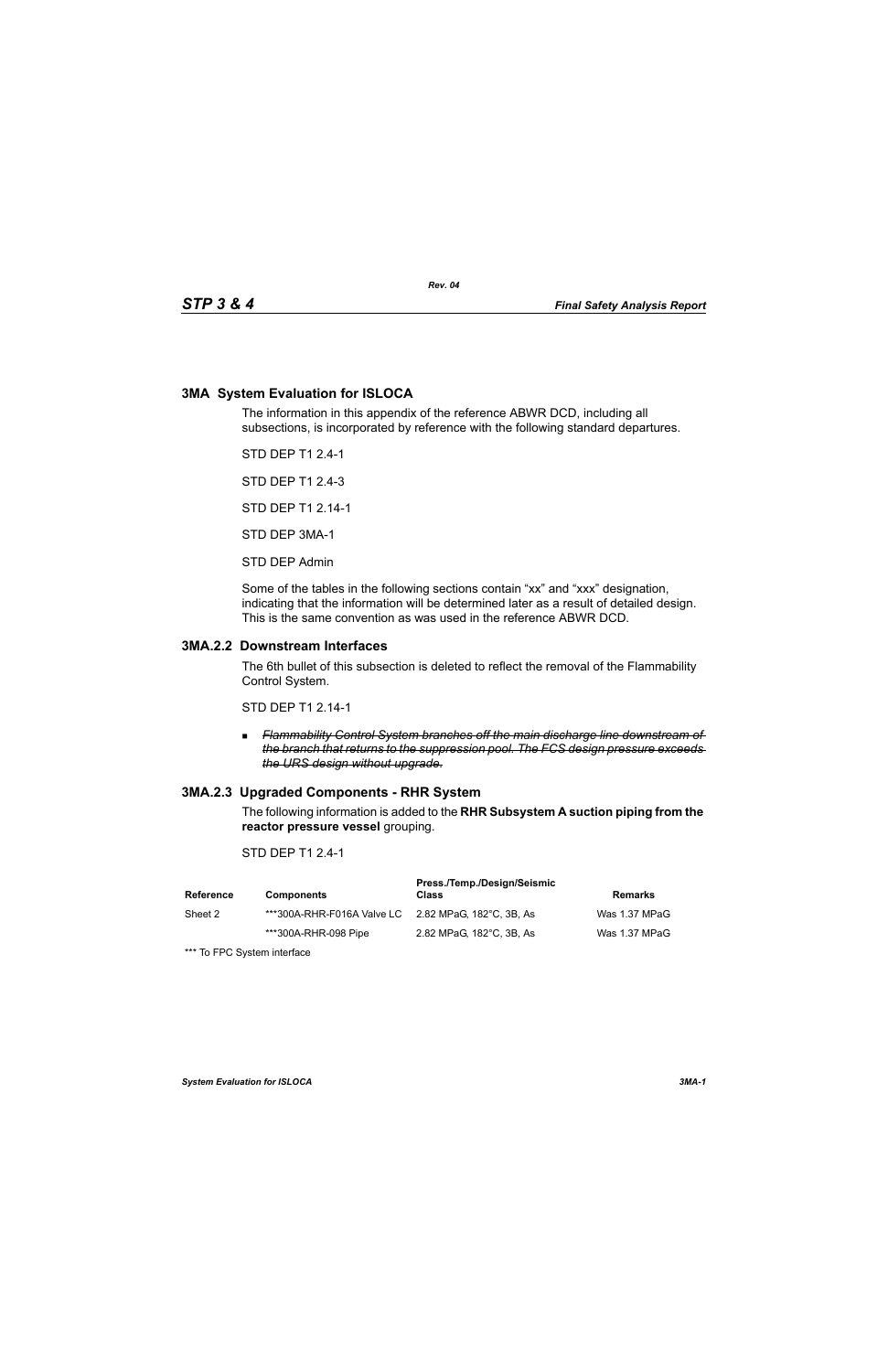## **3MA System Evaluation for ISLOCA**

The information in this appendix of the reference ABWR DCD, including all subsections, is incorporated by reference with the following standard departures.

STD DEP T1 2.4-1

STD DEP T1 2.4-3

STD DEP T1 2.14-1

STD DEP 3MA-1

STD DEP Admin

Some of the tables in the following sections contain "xx" and "xxx" designation, indicating that the information will be determined later as a result of detailed design. This is the same convention as was used in the reference ABWR DCD.

### **3MA.2.2 Downstream Interfaces**

The 6th bullet of this subsection is deleted to reflect the removal of the Flammability Control System.

STD DEP T1 2.14-1

 *Flammability Control System branches off the main discharge line downstream of the branch that returns to the suppression pool. The FCS design pressure exceeds the URS design without upgrade.*

# **3MA.2.3 Upgraded Components - RHR System**

The following information is added to the **RHR Subsystem A suction piping from the reactor pressure vessel** grouping.

### STD DFP T1 2 4-1

| Reference | <b>Components</b>                                   | Press./Temp./Design/Seismic<br>Class | Remarks       |
|-----------|-----------------------------------------------------|--------------------------------------|---------------|
| Sheet 2   | ***300A-RHR-F016A Valve LC 2.82 MPaG, 182°C, 3B, As |                                      | Was 1.37 MPaG |
|           | ***300A-RHR-098 Pipe                                | 2.82 MPaG, 182°C, 3B, As             | Was 1.37 MPaG |

\*\*\* To FPC System interface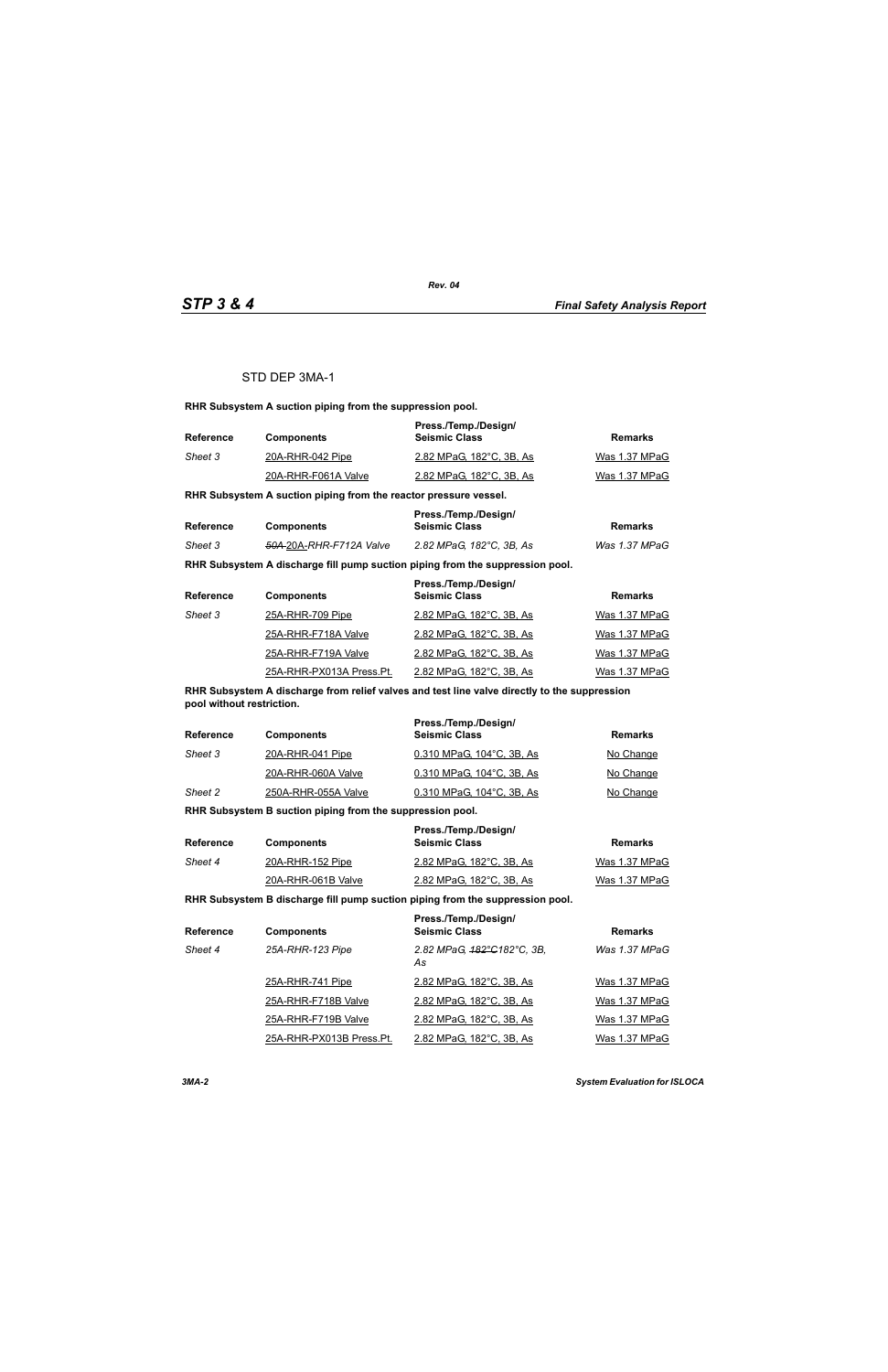### STD DEP 3MA-1

**RHR Subsystem A suction piping from the suppression pool.**

| <b>Reference</b> | <b>Components</b>   | Press./Temp./Design/<br><b>Seismic Class</b> | Remarks       |
|------------------|---------------------|----------------------------------------------|---------------|
| Sheet 3          | 20A-RHR-042 Pipe    | 2.82 MPaG, 182°C, 3B, As                     | Was 1.37 MPaG |
|                  | 20A-RHR-F061A Valve | 2.82 MPaG, 182°C, 3B, As                     | Was 1.37 MPaG |

**RHR Subsystem A suction piping from the reactor pressure vessel.**

| <b>Reference</b> |                                     | Press./Temp./Design/     |               |
|------------------|-------------------------------------|--------------------------|---------------|
|                  | <b>Components</b>                   | <b>Seismic Class</b>     | Remarks       |
| Sheet 3          | <del>50A 2</del> 0A-RHR-F712A Valve | 2.82 MPaG, 182°C, 3B, As | Was 1.37 MPaG |

**RHR Subsystem A discharge fill pump suction piping from the suppression pool.**

| <b>Reference</b> | <b>Components</b>        | Press./Temp./Design/<br><b>Seismic Class</b> | <b>Remarks</b> |
|------------------|--------------------------|----------------------------------------------|----------------|
| Sheet 3          | 25A-RHR-709 Pipe         | 2.82 MPaG, 182°C, 3B, As                     | Was 1.37 MPaG  |
|                  | 25A-RHR-F718A Valve      | 2.82 MPaG, 182°C, 3B, As                     | Was 1.37 MPaG  |
|                  | 25A-RHR-F719A Valve      | 2.82 MPaG, 182°C, 3B, As                     | Was 1.37 MPaG  |
|                  | 25A-RHR-PX013A Press.Pt. | 2.82 MPaG, 182°C, 3B, As                     | Was 1.37 MPaG  |

**RHR Subsystem A discharge from relief valves and test line valve directly to the suppression pool without restriction.**

| <b>Reference</b> | <b>Components</b>   | Press./Temp./Design/<br><b>Seismic Class</b> | Remarks   |
|------------------|---------------------|----------------------------------------------|-----------|
| Sheet 3          | 20A-RHR-041 Pipe    | 0.310 MPaG, 104°C, 3B, As                    | No Change |
|                  | 20A-RHR-060A Valve  | 0.310 MPaG, 104°C, 3B, As                    | No Change |
| Sheet 2          | 250A-RHR-055A Valve | 0.310 MPaG, 104°C, 3B, As                    | No Change |

**RHR Subsystem B suction piping from the suppression pool.**

| Reference | <b>Components</b>  | Press./Temp./Design/<br><b>Seismic Class</b> | Remarks       |
|-----------|--------------------|----------------------------------------------|---------------|
| Sheet 4   | 20A-RHR-152 Pipe   | 2.82 MPaG, 182°C, 3B, As                     | Was 1.37 MPaG |
|           | 20A-RHR-061B Valve | 2.82 MPaG, 182°C, 3B, As                     | Was 1.37 MPaG |

**RHR Subsystem B discharge fill pump suction piping from the suppression pool.**

| <b>Reference</b> | <b>Components</b>        | Press./Temp./Design/<br><b>Seismic Class</b> | <b>Remarks</b> |
|------------------|--------------------------|----------------------------------------------|----------------|
| Sheet 4          | 25A-RHR-123 Pipe         | 2.82 MPaG, 182°C182°C, 3B,<br>As             | Was 1.37 MPaG  |
|                  | 25A-RHR-741 Pipe         | 2.82 MPaG, 182°C, 3B, As                     | Was 1.37 MPaG  |
|                  | 25A-RHR-F718B Valve      | 2.82 MPaG, 182°C, 3B, As                     | Was 1.37 MPaG  |
|                  | 25A-RHR-F719B Valve      | 2.82 MPaG, 182°C, 3B, As                     | Was 1.37 MPaG  |
|                  | 25A-RHR-PX013B Press.Pt. | 2.82 MPaG, 182°C, 3B, As                     | Was 1.37 MPaG  |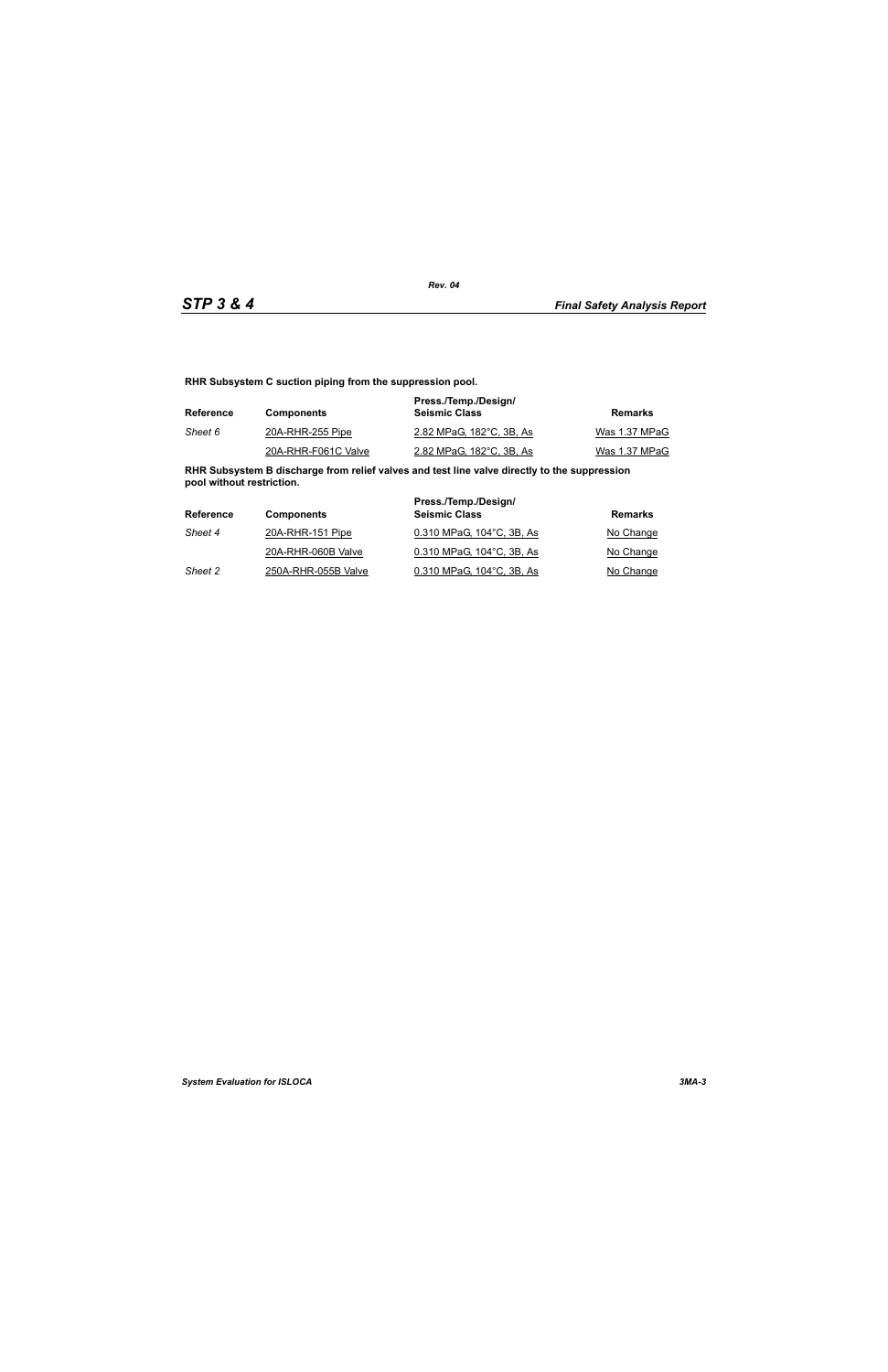**RHR Subsystem C suction piping from the suppression pool.**

| Reference | <b>Components</b>   | Press./Temp./Design/<br><b>Seismic Class</b> | Remarks       |
|-----------|---------------------|----------------------------------------------|---------------|
| Sheet 6   | 20A-RHR-255 Pipe    | 2.82 MPaG, 182°C, 3B, As                     | Was 1.37 MPaG |
|           | 20A-RHR-F061C Valve | 2.82 MPaG, 182°C, 3B, As                     | Was 1.37 MPaG |

**RHR Subsystem B discharge from relief valves and test line valve directly to the suppression pool without restriction.**

| <b>Reference</b> | <b>Components</b>   | Press./Temp./Design/<br><b>Seismic Class</b> | Remarks   |
|------------------|---------------------|----------------------------------------------|-----------|
| Sheet 4          | 20A-RHR-151 Pipe    | 0.310 MPaG, 104°C, 3B, As                    | No Change |
|                  | 20A-RHR-060B Valve  | 0.310 MPaG. 104°C. 3B. As                    | No Change |
| Sheet 2          | 250A-RHR-055B Valve | 0.310 MPaG, 104°C, 3B, As                    | No Change |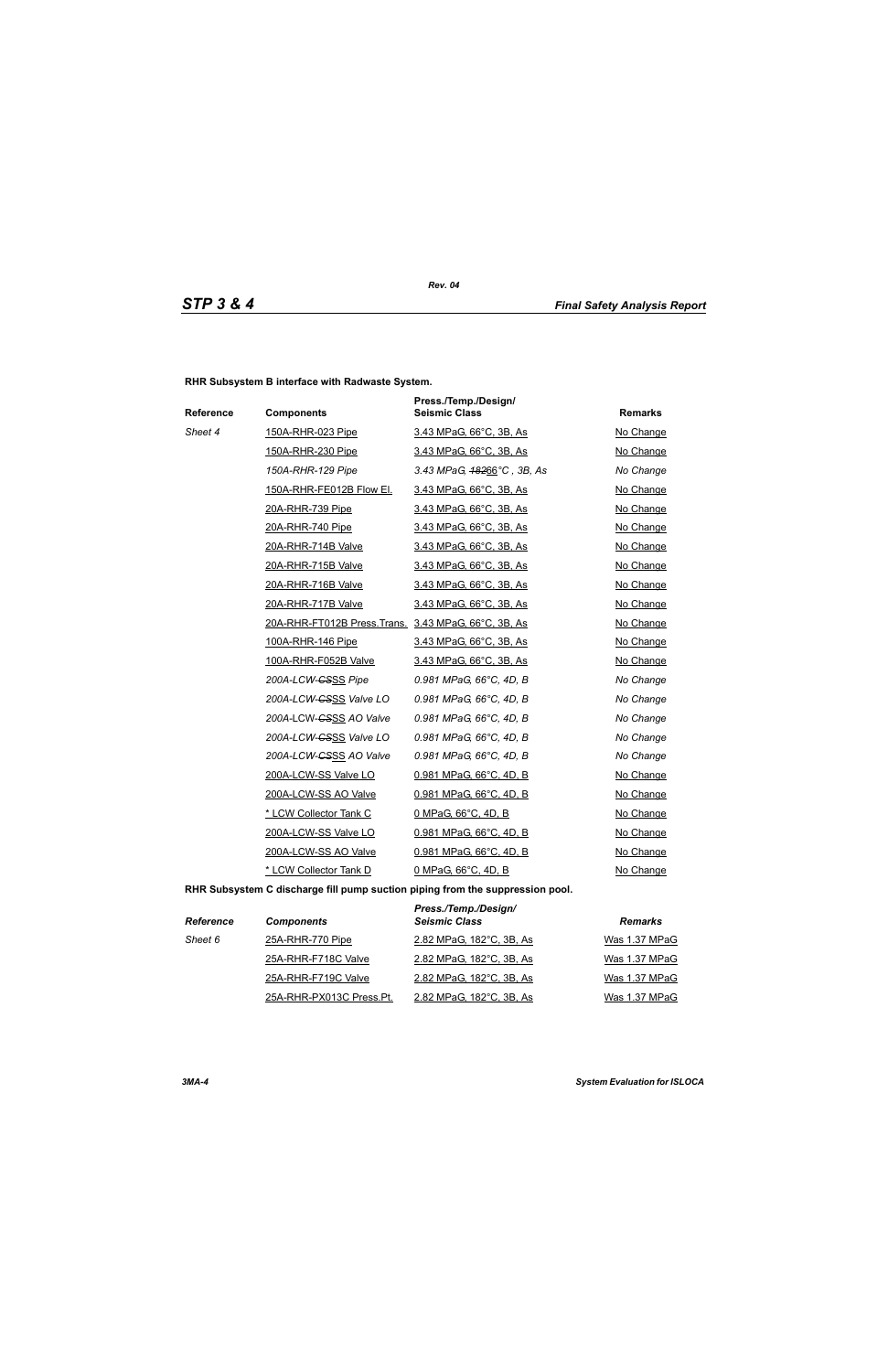**RHR Subsystem B interface with Radwaste System.**

| Reference | <b>Components</b>                                    | Press./Temp./Design/<br><b>Seismic Class</b> | <b>Remarks</b> |
|-----------|------------------------------------------------------|----------------------------------------------|----------------|
| Sheet 4   | 150A-RHR-023 Pipe                                    | 3.43 MPaG, 66°C, 3B, As                      | No Change      |
|           | 150A-RHR-230 Pipe                                    | 3.43 MPaG, 66°C, 3B, As                      | No Change      |
|           | 150A-RHR-129 Pipe                                    | 3.43 MPaG, 48266°C, 3B, As                   | No Change      |
|           | 150A-RHR-FE012B Flow El.                             | 3.43 MPaG, 66°C, 3B, As                      | No Change      |
|           | 20A-RHR-739 Pipe                                     | 3.43 MPaG, 66°C, 3B, As                      | No Change      |
|           | 20A-RHR-740 Pipe                                     | 3.43 MPaG, 66°C, 3B, As                      | No Change      |
|           | 20A-RHR-714B Valve                                   | 3.43 MPaG, 66°C, 3B, As                      | No Change      |
|           | 20A-RHR-715B Valve                                   | 3.43 MPaG, 66°C, 3B, As                      | No Change      |
|           | 20A-RHR-716B Valve                                   | 3.43 MPaG, 66°C, 3B, As                      | No Change      |
|           | 20A-RHR-717B Valve                                   | 3.43 MPaG, 66°C, 3B, As                      | No Change      |
|           | 20A-RHR-FT012B Press. Trans. 3.43 MPaG, 66°C, 3B, As |                                              | No Change      |
|           | 100A-RHR-146 Pipe                                    | 3.43 MPaG, 66°C, 3B, As                      | No Change      |
|           | 100A-RHR-F052B Valve                                 | 3.43 MPaG, 66°C, 3B, As                      | No Change      |
|           | 200A-LCW- <del>CSSS</del> Pipe                       | 0.981 MPaG, 66°C, 4D, B                      | No Change      |
|           | 200A-LCW-GSSS Valve LO                               | 0.981 MPaG, 66°C, 4D, B                      | No Change      |
|           | 200A-LCW-CSSS AO Valve                               | 0.981 MPaG, 66°C, 4D, B                      | No Change      |
|           | 200A-LCW-GSSS Valve LO                               | 0.981 MPaG, 66°C, 4D, B                      | No Change      |
|           | 200A-LCW-GSSS AO Valve                               | 0.981 MPaG, 66°C, 4D, B                      | No Change      |
|           | 200A-LCW-SS Valve LO                                 | 0.981 MPaG, 66°C, 4D, B                      | No Change      |
|           | 200A-LCW-SS AO Valve                                 | 0.981 MPaG, 66°C, 4D, B                      | No Change      |
|           | * LCW Collector Tank C                               | 0 MPaG, 66°C, 4D, B                          | No Change      |
|           | 200A-LCW-SS Valve LO                                 | 0.981 MPaG, 66°C, 4D, B                      | No Change      |
|           | 200A-LCW-SS AO Valve                                 | 0.981 MPaG, 66°C, 4D, B                      | No Change      |
|           | * LCW Collector Tank D                               | 0 MPaG, 66°C, 4D, B                          | No Change      |

**RHR Subsystem C discharge fill pump suction piping from the suppression pool.**

| <b>Reference</b> | <b>Components</b>        | Press./Temp./Design/<br><b>Seismic Class</b> | <b>Remarks</b> |
|------------------|--------------------------|----------------------------------------------|----------------|
| Sheet 6          | 25A-RHR-770 Pipe         | 2.82 MPaG, 182°C, 3B, As                     | Was 1.37 MPaG  |
|                  | 25A-RHR-F718C Valve      | 2.82 MPaG, 182°C, 3B, As                     | Was 1.37 MPaG  |
|                  | 25A-RHR-F719C Valve      | 2.82 MPaG, 182°C, 3B, As                     | Was 1.37 MPaG  |
|                  | 25A-RHR-PX013C Press.Pt. | 2.82 MPaG, 182°C, 3B, As                     | Was 1.37 MPaG  |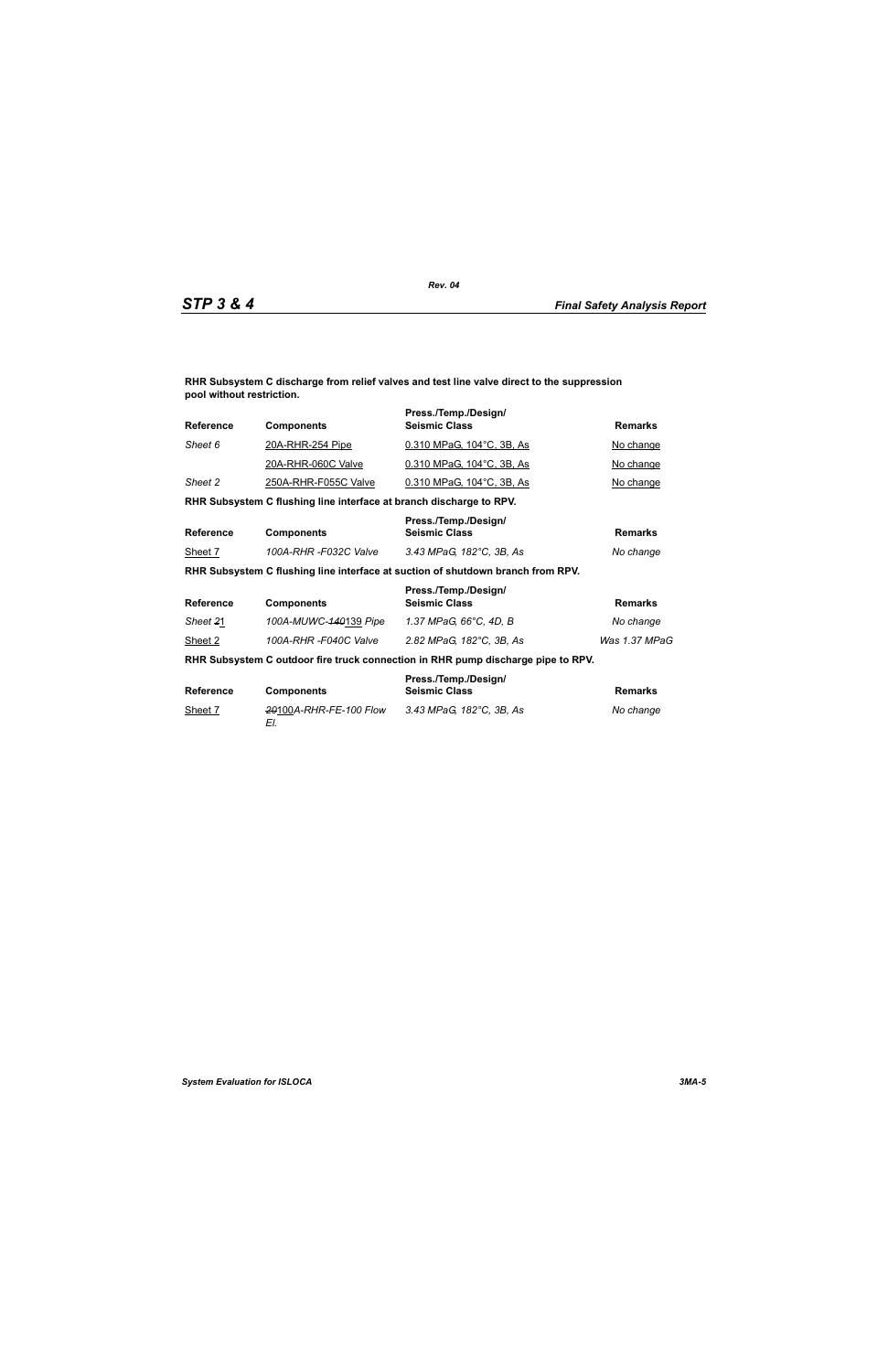**RHR Subsystem C discharge from relief valves and test line valve direct to the suppression pool without restriction.**

| <b>Reference</b> | <b>Components</b>                                                   | Press./Temp./Design/<br><b>Seismic Class</b>                                     | <b>Remarks</b> |
|------------------|---------------------------------------------------------------------|----------------------------------------------------------------------------------|----------------|
| Sheet 6          | <u>20A-RHR-254 Pipe</u>                                             | 0.310 MPaG, 104°C, 3B, As                                                        | No change      |
|                  | 20A-RHR-060C Valve                                                  | 0.310 MPaG, 104°C, 3B, As                                                        | No change      |
| Sheet 2          | 250A-RHR-F055C Valve                                                | 0.310 MPaG, 104°C, 3B, As                                                        | No change      |
|                  | RHR Subsystem C flushing line interface at branch discharge to RPV. |                                                                                  |                |
| <b>Reference</b> | <b>Components</b>                                                   | Press./Temp./Design/<br><b>Seismic Class</b>                                     | <b>Remarks</b> |
| Sheet 7          | 100A-RHR -F032C Valve                                               | 3.43 MPaG, 182°C, 3B, As                                                         | No change      |
|                  |                                                                     | RHR Subsystem C flushing line interface at suction of shutdown branch from RPV.  |                |
| <b>Reference</b> | <b>Components</b>                                                   | Press./Temp./Design/<br><b>Seismic Class</b>                                     | <b>Remarks</b> |
| Sheet 21         | 100A-MUWC-140139 Pipe                                               | 1.37 MPaG, 66°C, 4D, B                                                           | No change      |
| Sheet 2          | 100A-RHR-F040C Valve                                                | 2.82 MPaG, 182°C, 3B, As                                                         | Was 1.37 MPaG  |
|                  |                                                                     | RHR Subsystem C outdoor fire truck connection in RHR pump discharge pipe to RPV. |                |
| <b>Reference</b> | <b>Components</b>                                                   | Press./Temp./Design/<br><b>Seismic Class</b>                                     | <b>Remarks</b> |
| Sheet 7          | 20100A-RHR-FE-100 Flow<br>EI.                                       | 3.43 MPaG, 182°C, 3B, As                                                         | No change      |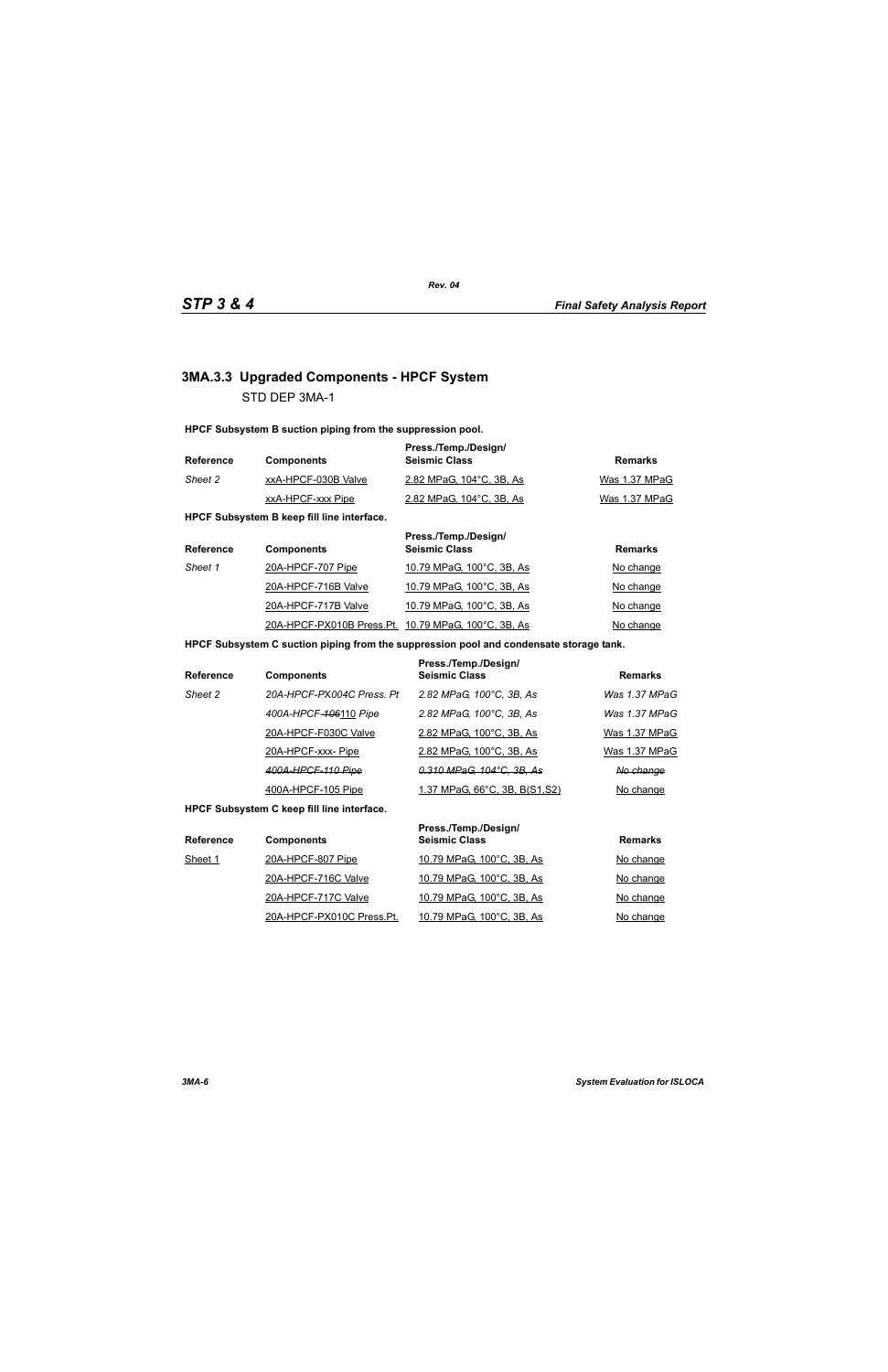# **3MA.3.3 Upgraded Components - HPCF System** STD DEP 3MA-1

**HPCF Subsystem B suction piping from the suppression pool.**

| <b>Reference</b> | <b>Components</b>   | Press./Temp./Design/<br><b>Seismic Class</b> | Remarks       |
|------------------|---------------------|----------------------------------------------|---------------|
| Sheet 2          | xxA-HPCF-030B Valve | 2.82 MPaG, 104°C, 3B, As                     | Was 1.37 MPaG |
|                  | xxA-HPCF-xxx Pipe   | 2.82 MPaG, 104 °C, 3B, As                    | Was 1.37 MPaG |

**HPCF Subsystem B keep fill line interface.**

| <b>Reference</b> | <b>Components</b>                                   | Press./Temp./Design/<br><b>Seismic Class</b> | <b>Remarks</b> |
|------------------|-----------------------------------------------------|----------------------------------------------|----------------|
| Sheet 1          | 20A-HPCF-707 Pipe                                   | 10.79 MPaG, 100°C, 3B, As                    | No change      |
|                  | 20A-HPCF-716B Valve                                 | 10.79 MPaG, 100°C, 3B, As                    | No change      |
|                  | 20A-HPCF-717B Valve                                 | 10.79 MPaG, 100°C, 3B, As                    | No change      |
|                  | 20A-HPCF-PX010B Press.Pt. 10.79 MPaG, 100°C, 3B, As |                                              | No change      |

### **HPCF Subsystem C suction piping from the suppression pool and condensate storage tank.**

| <b>Reference</b> | <b>Components</b>         | Press./Temp./Design/<br><b>Seismic Class</b> | <b>Remarks</b> |
|------------------|---------------------------|----------------------------------------------|----------------|
| Sheet 2          | 20A-HPCF-PX004C Press, Pt | 2.82 MPaG, 100°C, 3B, As                     | Was 1.37 MPaG  |
|                  | 400A-HPCF-406110 Pipe     | 2.82 MPaG, 100°C, 3B, As                     | Was 1.37 MPaG  |
|                  | 20A-HPCF-F030C Valve      | 2.82 MPaG, 100°C, 3B, As                     | Was 1.37 MPaG  |
|                  | 20A-HPCF-xxx-Pipe         | 2.82 MPaG, 100°C, 3B, As                     | Was 1.37 MPaG  |
|                  | 400A-HPCF-110 Pipe        | 0.310 MPaG, 104°C, 3B, As                    | No change      |
|                  | 400A-HPCF-105 Pipe        | <u>1.37 MPaG, 66°C, 3B, B(S1,S2)</u>         | No change      |

**HPCF Subsystem C keep fill line interface.**

| <b>Reference</b> | <b>Components</b>         | Press./Temp./Design/<br><b>Seismic Class</b> | <b>Remarks</b> |
|------------------|---------------------------|----------------------------------------------|----------------|
| Sheet 1          | 20A-HPCF-807 Pipe         | 10.79 MPaG, 100°C, 3B, As                    | No change      |
|                  | 20A-HPCF-716C Valve       | 10.79 MPaG, 100°C, 3B, As                    | No change      |
|                  | 20A-HPCF-717C Valve       | 10.79 MPaG, 100°C, 3B, As                    | No change      |
|                  | 20A-HPCF-PX010C Press.Pt. | 10.79 MPaG, 100°C, 3B, As                    | No change      |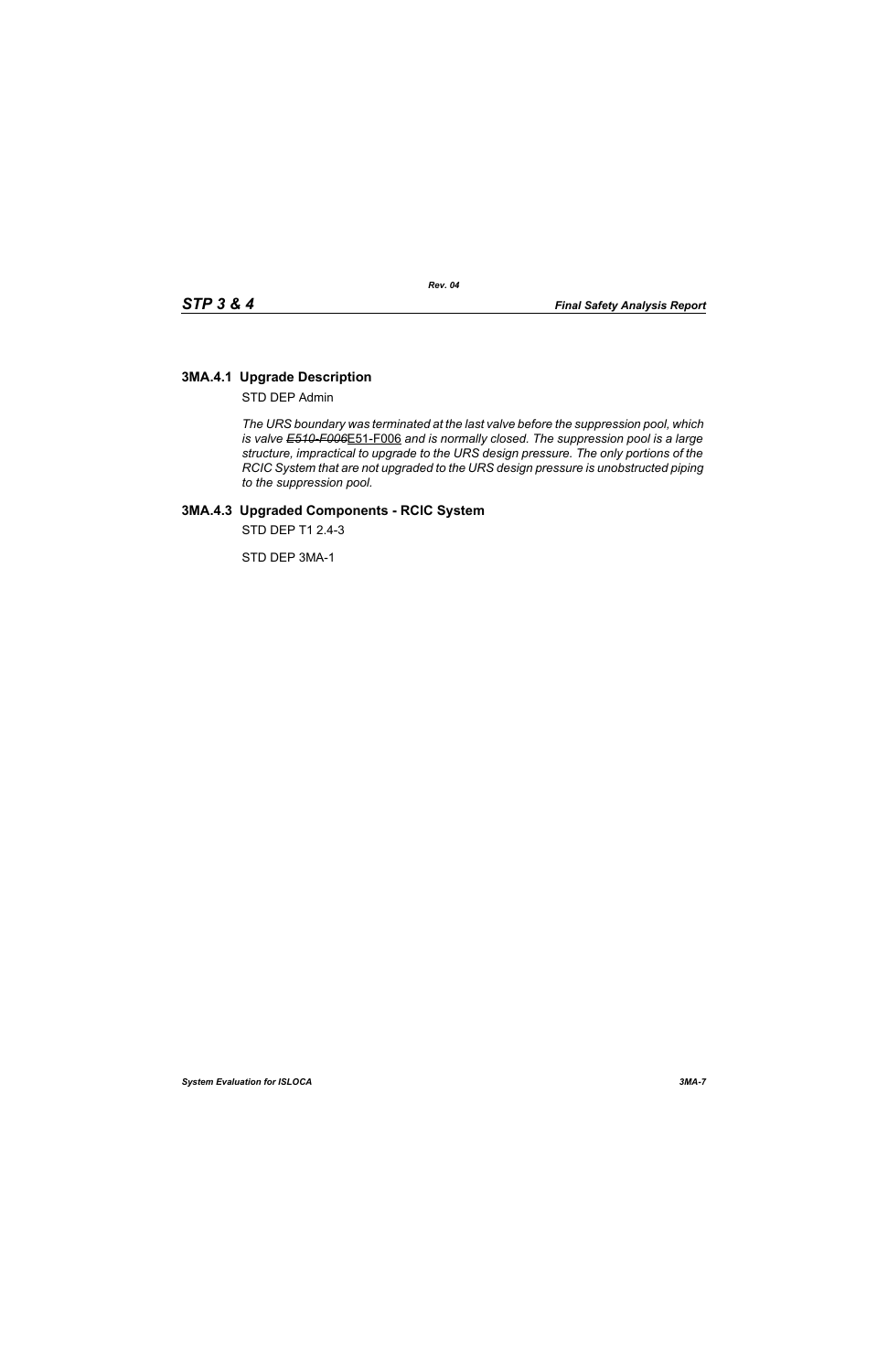# **3MA.4.1 Upgrade Description**

STD DEP Admin

*The URS boundary was terminated at the last valve before the suppression pool, which is valve E510-F006*E51-F006 *and is normally closed. The suppression pool is a large structure, impractical to upgrade to the URS design pressure. The only portions of the RCIC System that are not upgraded to the URS design pressure is unobstructed piping to the suppression pool.*

# **3MA.4.3 Upgraded Components - RCIC System**

STD DEP T1 2.4-3

STD DEP 3MA-1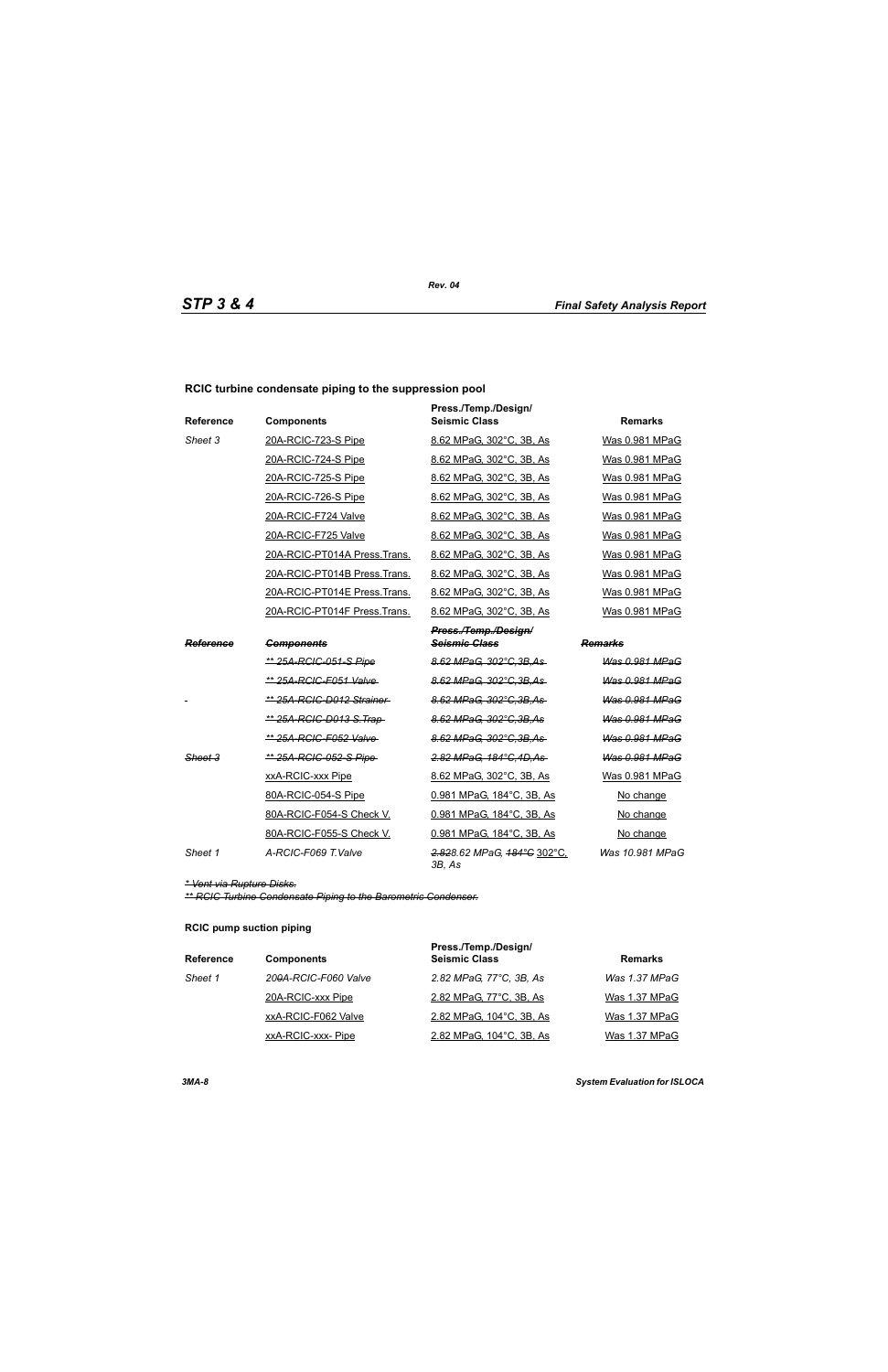### **RCIC turbine condensate piping to the suppression pool**

| <b>Reference</b> | <b>Components</b>               | Press./Temp./Design/<br><b>Seismic Class</b> | <b>Remarks</b>        |
|------------------|---------------------------------|----------------------------------------------|-----------------------|
| Sheet 3          | 20A-RCIC-723-S Pipe             | 8.62 MPaG, 302°C, 3B, As                     | Was 0.981 MPaG        |
|                  | 20A-RCIC-724-S Pipe             | 8.62 MPaG, 302°C, 3B, As                     | Was 0.981 MPaG        |
|                  | 20A-RCIC-725-S Pipe             | 8.62 MPaG. 302°C. 3B. As                     | Was 0.981 MPaG        |
|                  | 20A-RCIC-726-S Pipe             | 8.62 MPaG, 302°C, 3B, As                     | Was 0.981 MPaG        |
|                  | 20A-RCIC-F724 Valve             | 8.62 MPaG, 302°C, 3B, As                     | Was 0.981 MPaG        |
|                  | 20A-RCIC-F725 Valve             | 8.62 MPaG, 302°C, 3B, As                     | Was 0.981 MPaG        |
|                  | 20A-RCIC-PT014A Press. Trans.   | 8.62 MPaG, 302°C, 3B, As                     | Was 0.981 MPaG        |
|                  | 20A-RCIC-PT014B Press.Trans.    | 8.62 MPaG, 302°C, 3B, As                     | Was 0.981 MPaG        |
|                  | 20A-RCIC-PT014E Press.Trans.    | 8.62 MPaG, 302°C, 3B, As                     | Was 0.981 MPaG        |
|                  | 20A-RCIC-PT014F Press.Trans.    | 8.62 MPaG, 302°C, 3B, As                     | Was 0.981 MPaG        |
|                  |                                 | Press./Temp./Design/                         |                       |
| Reference        | <b>Components</b>               | <b>Seismic Class</b>                         | Remarks               |
|                  | <u>** 25A-RCIC-051-S Pipe</u>   | 8.62 MPaG, 302°C, 3B, As                     | Was 0.981 MPaG        |
|                  | ** 25A-RCIC-F051 Valve-         | 8.62 MPaG. 302°C.3B.As                       | Was 0.981 MPaG        |
|                  | ** 25A-RCIC-D012 Strainer       | 8.62 MPaG, 302°C, 3B, As                     | Was 0.981 MPaG        |
|                  | <u>** 25A-RCIC-D013 S.Trap-</u> | 8.62 MPaG, 302°C, 3B, As                     | <b>Was 0.981 MPaG</b> |
|                  | ** 25A-RCIC-F052 Valve-         | 8.62 MPaG, 302°C, 3B, As                     | Was 0.981 MPaG        |
| Sheet 3          | ** 25A-RCIC-052-S Pipe-         | 2.82 MPaG, 184°C, 4D, As                     | Was 0.981 MPaG        |
|                  | xxA-RCIC-xxx Pipe               | 8.62 MPaG, 302°C, 3B, As                     | Was 0.981 MPaG        |
|                  | 80A-RCIC-054-S Pipe             | 0.981 MPaG, 184°C, 3B, As                    | No change             |
|                  | 80A-RCIC-F054-S Check V.        | 0.981 MPaG, 184°C, 3B, As                    | No change             |
|                  | 80A-RCIC-F055-S Check V.        | 0.981 MPaG, 184°C, 3B, As                    | No change             |
| Sheet 1          | A-RCIC-F069 T.Valve             | 2.828.62 MPaG, 184°C 302°C,<br>3B, As        | Was 10.981 MPaG       |

*\* Vent via Rupture Disks.*

*\*\* RCIC Turbine Condensate Piping to the Barometric Condenser.*

### **RCIC pump suction piping**

| <b>Reference</b> | <b>Components</b>    | Press./Temp./Design/<br><b>Seismic Class</b> | <b>Remarks</b> |
|------------------|----------------------|----------------------------------------------|----------------|
| Sheet 1          | 200A-RCIC-F060 Valve | 2.82 MPaG, 77°C, 3B, As                      | Was 1.37 MPaG  |
|                  | 20A-RCIC-xxx Pipe    | 2.82 MPaG, 77°C, 3B, As                      | Was 1.37 MPaG  |
|                  | xxA-RCIC-F062 Valve  | 2.82 MPaG, 104°C, 3B, As                     | Was 1.37 MPaG  |
|                  | xxA-RCIC-xxx-Pipe    | 2.82 MPaG, 104°C, 3B, As                     | Was 1.37 MPaG  |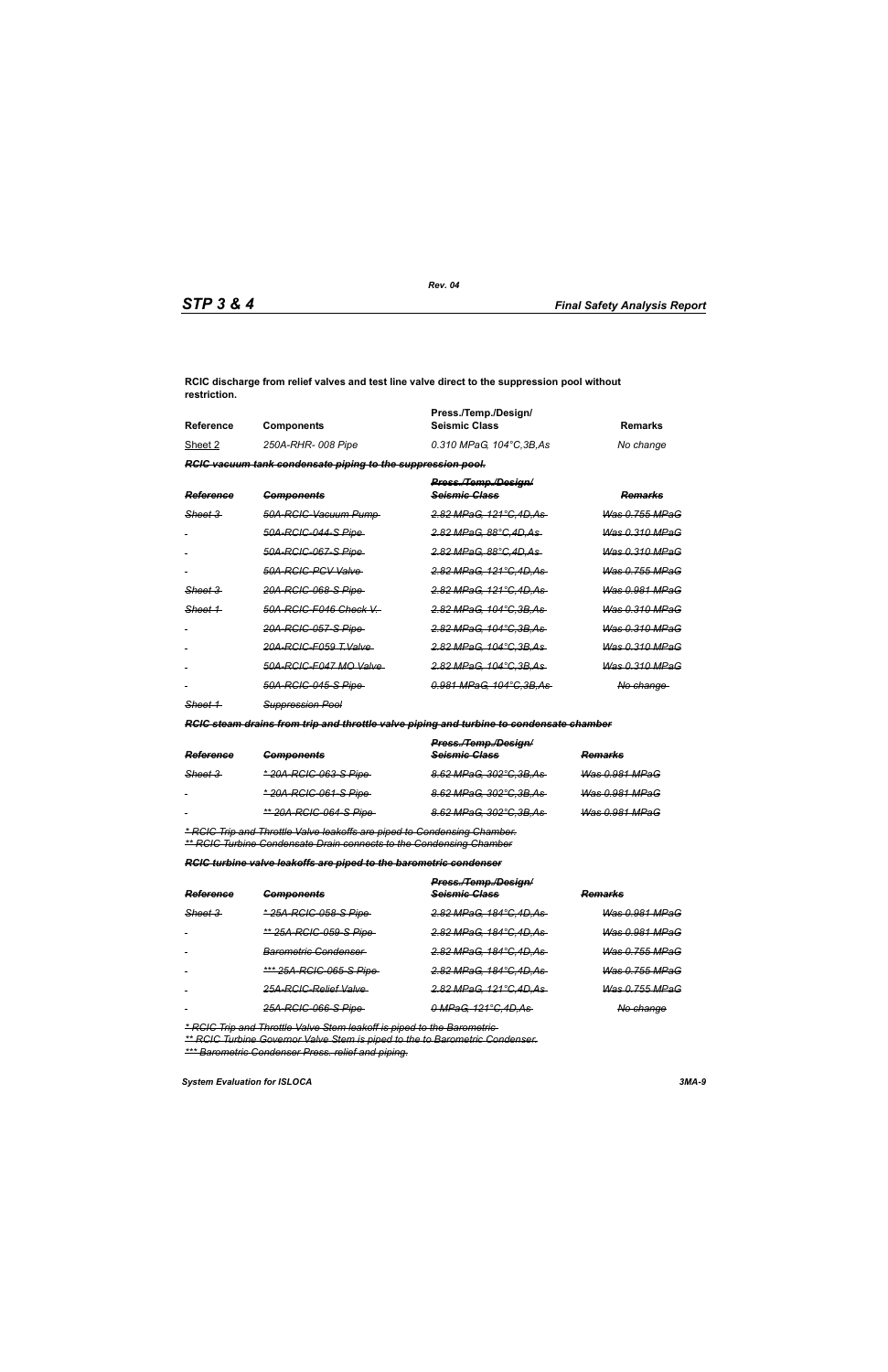**RCIC discharge from relief valves and test line valve direct to the suppression pool without restriction.**

| Reference | <b>Components</b>                                                  | Press./Temp./Design/<br><b>Seismic Class</b> | Remarks   |
|-----------|--------------------------------------------------------------------|----------------------------------------------|-----------|
| Sheet 2   | 250A-RHR- 008 Pipe                                                 | 0.310 MPaG. 104°C.3B.As                      | No change |
|           | <b>RGIC vacuum tank condensate piping to the suppression pool.</b> |                                              |           |

| <b>Reference</b>   | <b>Components</b>           | Press./Temp./Design/<br><del>Scismic Class</del> | <del>Remarks</del>        |
|--------------------|-----------------------------|--------------------------------------------------|---------------------------|
| <del>Sheet 3</del> | 50A-RCIC-Vacuum Pump-       | <u>2.82 MPaG. 121°C.4D.As</u>                    | <u>Was 0.755 MPaG</u>     |
|                    | <u>50A-RCIC-044-S Pipe-</u> | <del>2.82 MPaG. 88°C.4D.As</del>                 | <del>Was 0.310 MPaG</del> |
|                    | <u>50A-RCIC-067-S Pipe </u> | <del>2.82 MPaG. 88°C.4D.As</del>                 | <del>Was 0.310 MPaG</del> |
|                    | 50A-RGIG-PGV Valve          | <u>2.82 MPaG. 121°C.4D.As-</u>                   | <del>Was 0.755 MPaG</del> |
| <del>Sheet 3</del> | <u>20A-RCIC-068-S Pipe </u> | <del>2.82 MPaG. 121°C.4D.As-</del>               | <del>Was 0.981 MPaG</del> |
| Sheet 1            | 50A-RCIC-F046 Check V       | <del>2.82 MPaG, 104°C.3B.As-</del>               | Was 0.310 MPaG            |
|                    | <u>20A-RCIC-057-S Pipe </u> | <u>2.82 MPaG. 104°C.3B.As-</u>                   | <del>Was 0.310 MPaG</del> |
|                    | 20A-RCIC-F059 T.Valve       | <del>2.82 MPaG, 104°C.3B.As -</del>              | <del>Was 0.310 MPaG</del> |
|                    | 50A-RCIC-F047 MO Valve      | <del>2.82 MPaG, 104°C.3B.As -</del>              | <del>Was 0.310 MPaG</del> |
|                    | <u>50A-RCIC-045-S Pipe-</u> | <u>0.981 MPaG. 104°C.3B.As-</u>                  | <del>No change</del>      |
|                    |                             |                                                  |                           |

*Sheet 1 Suppression Pool*

*RCIC steam drains from trip and throttle valve piping and turbine to condensate chamber*

|                    |                                | Press./Temp./Design/     |                |
|--------------------|--------------------------------|--------------------------|----------------|
| Reference          | <b>Components</b>              | Seismic Class            | <b>Remarks</b> |
| <del>Sheet 3</del> | <u>* 20A-RCIC-063-S Pipe</u>   | 8.62 MPaG, 302°C, 3B, As | Was 0.981 MPaG |
| $\sim$             | <u>* 20A-RCIC-061-S Pipe-</u>  | 8.62 MPaG, 302°C, 3B, As | Was 0.981 MPaG |
| $\blacksquare$     | <u>** 20A-RCIC-064-S Pipe-</u> | 8.62 MPaG, 302°C, 3B, As | Was 0.981 MPaG |
|                    |                                |                          |                |

*\* RCIC Trip and Throttle Valve leakoffs are piped to Condensing Chamber. \*\* RCIC Turbine Condensate Drain connects to the Condensing Chamber*

*RCIC turbine valve leakoffs are piped to the barometric condenser*

|           |                                 | Press./Temp./Design/     |                           |  |
|-----------|---------------------------------|--------------------------|---------------------------|--|
| Reference | <b>Components</b>               | Seismic Class            | <b>Remarks</b>            |  |
| Sheet 3   | * 25A-RCIC-058-S Pipe           | 2.82 MPaG, 184°C, 4D, As | <del>Was 0.981 MPaG</del> |  |
|           | ** 25A-RCIC-059-S Pipe          | 2.82 MPaG, 184°C, 4D, As | Was 0.981 MPaG            |  |
| $\sim$    | <del>Barometric Condenser</del> | 2.82 MPaG, 184°C, 4D, As | <del>Was 0.755 MPaG</del> |  |
| $\sim$    | *** 25A-RCIC-065-S Pipe         | 2.82 MPaG, 184°C, 4D, As | <b>Was 0.755 MPaG</b>     |  |
| $\sim$    | 25A-RCIC-Relief Valve           | 2.82 MPaG, 121°C,4D,As   | <b>Was 0.755 MPaG</b>     |  |
|           | 25A-RCIC-066-S Pipe-            | 0 MPaG, 121°C, 4D, As    | No change                 |  |

*\* RCIC Trip and Throttle Valve Stem leakoff is piped to the Barometric* 

*\*\* RCIC Turbine Governor Valve Stem is piped to the to Barometric Condenser. \*\*\* Barometric Condenser Press. relief and piping.*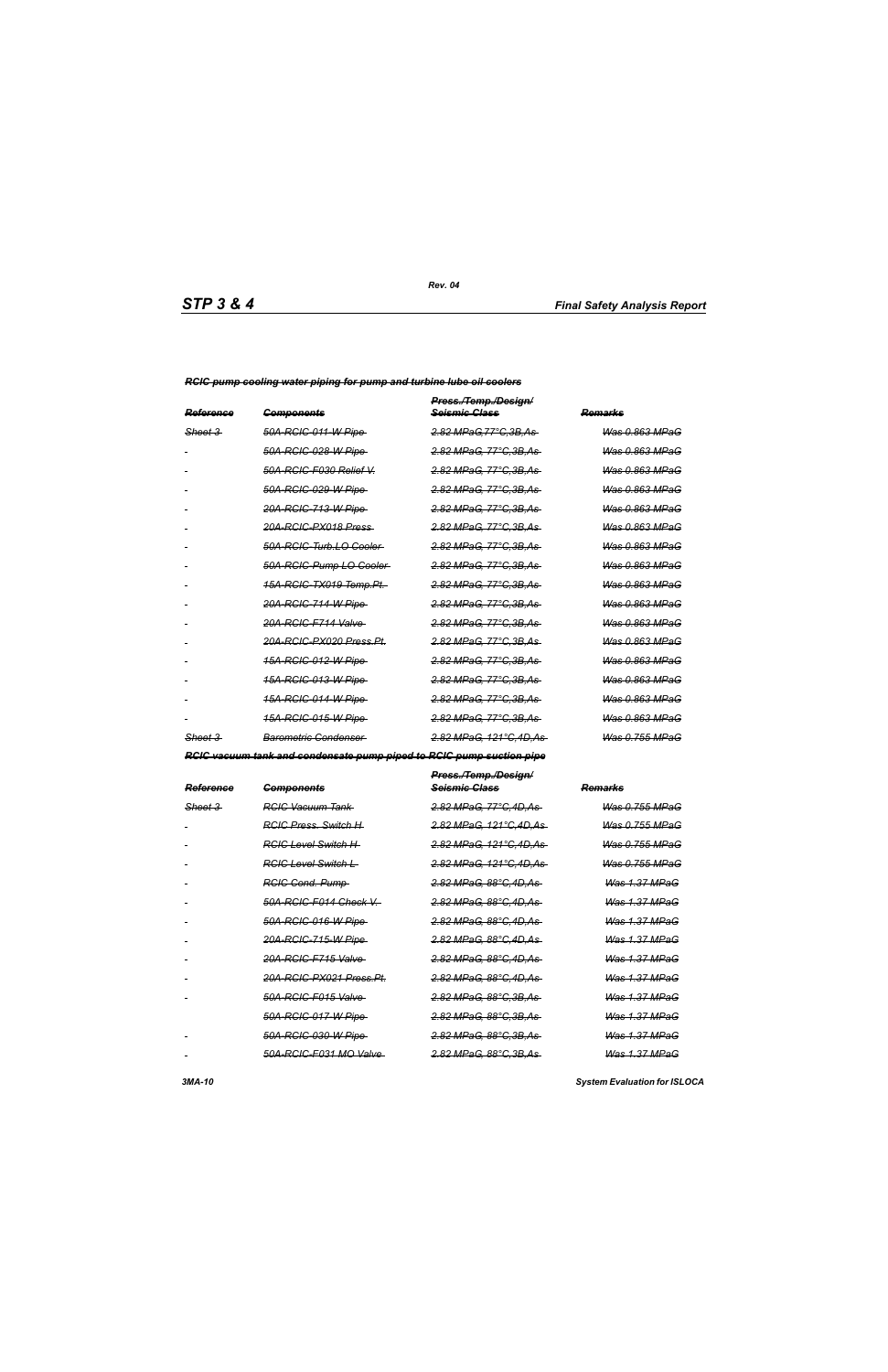*RCIC pump cooling water piping for pump and turbine lube oil coolers*

| Reference          | <b>Components</b>                   | Press./Temp./Design/<br><del>Seismic Class</del> | Remarks                   |
|--------------------|-------------------------------------|--------------------------------------------------|---------------------------|
| <del>Sheet 3</del> | 50A-RGIC-011-W Pipe                 | 2.82 MPaG,77°C,3B,As                             | Was 0.863 MPaG            |
|                    | <del>50A-RCIC-028-W Pipe</del>      | 2.82 MPaG, 77°C.3B.As                            | Was 0.863 MPaG            |
|                    | 50A-RCIC-F030 Relief V.             | 2.82 MPaG, 77°C.3B.As                            | Was 0.863 MPaG            |
|                    | 50A-RCIC-029-W Pipe                 | 2.82 MPaG, 77°C, 3B, As                          | <del>Was 0.863 MPaG</del> |
|                    | 20A-RCIC-713-W Pipe                 | <u>2.82 MPaG, 77°C,3B,As-</u>                    | <del>Was 0.863 MPaG</del> |
|                    | <del>20A-RCIC-PX018 Press</del>     | <del>2.82 MPaG. 77°C.3B.As</del>                 | <del>Was 0.863 MPaG</del> |
|                    | 50A-RCIC-Turb.LO-Cooler             | <u>2.82 MPaG, 77°C,3B,As-</u>                    | <del>Was 0.863 MPaG</del> |
|                    | 50A-RCIC-Pump LO Cooler-            | 2.82 MPaG, 77°C.3B.As                            | Was 0.863 MPaG            |
|                    | <del>15A-RCIC-TX019 Temp.Pt.</del>  | <u>2.82 MPaG, 77°C,3B,As-</u>                    | <del>Was 0.863 MPaG</del> |
|                    | <del>20A-RCIC-714-W Pipe</del>      | <del>2.82 MPaG. 77°C.3B.As</del>                 | Was 0.863 MPaG            |
|                    | 20A-RCIC-F714 Valve                 | 2.82 MPaG, 77°C.3B.As                            | <b>Was 0.863 MPaG</b>     |
|                    | <del>20A-RCIC-PX020 Press.Pt.</del> | <del>2.82 MPaG, 77°C.3B.As</del>                 | <del>Was 0.863 MPaG</del> |
|                    | 15A-RCIC-012-W Pipe                 | <u>2.82 MPaG, 77°C,3B,As</u>                     | <del>Was 0.863 MPaG</del> |
|                    | <u>15A-RCIC-013-W Pipe </u>         | <del>2.82 MPaG, 77°C.3B.As</del>                 | <del>Was 0.863 MPaG</del> |
|                    | <u>15A-RCIC-014-W Pipe </u>         | <del>2.82 MPaG. 77°C.3B.As</del>                 | Was 0.863 MPaG            |
|                    | <u>15A-RCIC-015-W Pipe </u>         | <del>2.82 MPaG, 77°C.3B.As</del>                 | Was 0.863 MPaG            |
| Sheet 3            | Barometric Condenser                | <del>2.82 MPaG, 121°C.4D.As -</del>              | <b>Was 0.755 MPaG</b>     |

*RCIC vacuum tank and condensate pump piped to RCIC pump suction pipe*

| Reference | <del>Components</del>               | Press./Temp./Design/<br><del>Scismic Class</del> | <del>Remarks</del>        |
|-----------|-------------------------------------|--------------------------------------------------|---------------------------|
| Sheet 3   | <del>RCIC Vacuum Tank</del>         | 2.82 MPaG, 77°C.4D.As                            | Was 0.755 MPaG            |
|           | <b>RGIC Press</b> , Switch H        | <del>2.82 MPaG, 121°C,4D,As-</del>               | <del>Was 0.755 MPaG</del> |
|           | <del>RCIC Level Switch H</del>      | <del>2.82 MPaG. 121°C.4D.As-</del>               | <u>Was 0.755 MPaG</u>     |
|           | RGIC Level Switch L                 | 2.82 MPaG, 121°C, 4D, As                         | <del>Was 0.755 MPaG</del> |
|           | <b>RGIG Cond. Pump</b>              | <del>2.82 MPaG. 88°C.4D.As-</del>                | <del>Was 1.37 MPaG</del>  |
|           | 50A-RCIC-F014 Check V.-             | 2.82 MPaG, 88°C, 4D, As                          | <b>Was 1.37 MPaG</b>      |
|           | 50A-RCIC-016-W Pipe-                | <del>2.82 MPaG. 88°C.4D.As-</del>                | <b>Was 1.37 MPaG</b>      |
|           | 20A-RCIC-715-W Pipe                 | <del>2.82 MPaG. 88°C.4D.As-</del>                | <b>Was 1.37 MPaG</b>      |
|           | 20A-RCIC-F715 Valve                 | <del>2.82 MPaG. 88°C.4D.As-</del>                | <b>Was 1.37 MPaG</b>      |
|           | <del>20A-RCIC-PX021 Press.Pt.</del> | <del>2.82 MPaG. 88°C.4D.As-</del>                | <b>Was 1.37 MPaG</b>      |
|           | 50A-RCIC-F015 Valve                 | <del>2.82 MPaG. 88°C.3B.As-</del>                | <b>Was 1.37 MPaG</b>      |
|           | 50A-RCIC-017-W Pipe                 | <u>2.82 MPaG, 88°C,3B,As-</u>                    | <b>Was 1.37 MPaG</b>      |
|           | 50A-RCIC-030-W Pipe                 | <del>2.82 MPaG. 88°C.3B.As-</del>                | <b>Was 1.37 MPaG</b>      |
|           | 50A-RCIC-F031 MO Valve              | <del>2.82 MPaG. 88°C.3B.As-</del>                | <b>Was 1.37 MPaG</b>      |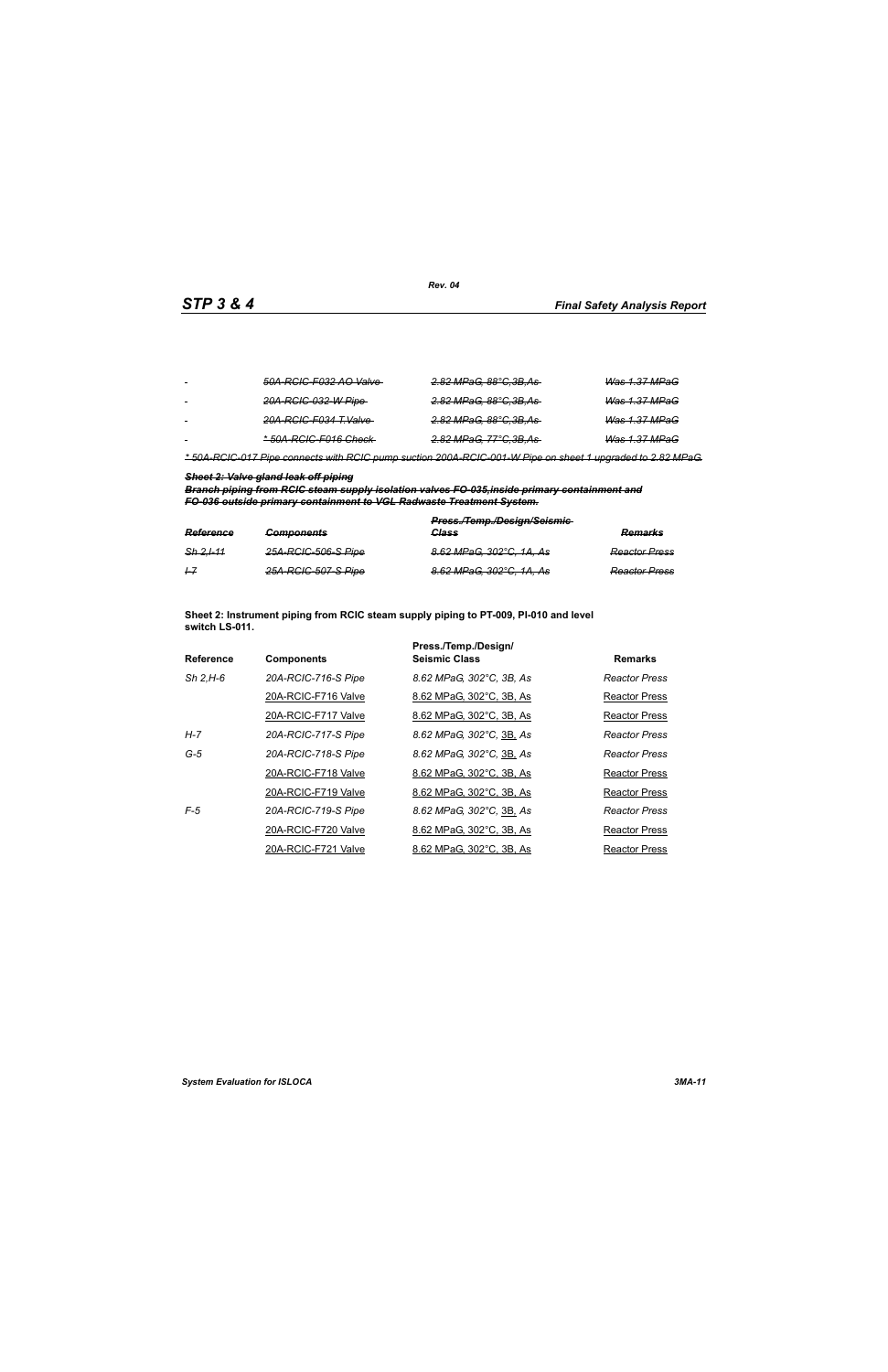| $\sim$ | 50A-RCIC-F032 AO Valve           | <del>2.82 MPaG, 88°C,3B,As-</del> | <b>Was 1.37 MPaG</b>     |
|--------|----------------------------------|-----------------------------------|--------------------------|
| $\sim$ | 20A-RCIC-032-W Pipe-             | <del>2.82 MPaG, 88°C,3B,As</del>  | <del>Was 1.37 MPaG</del> |
|        | <del>20A-RCIC-F034 T.Valve</del> | <del>2.82 MPaG, 88°C,3B,As-</del> | <del>Was 1.37 MPaG</del> |
| $\sim$ | *50A-RCIC-F016 Check-            | <del>2.82 MPaG, 77°C,3B,As</del>  | Was 1.37 MPaG            |

*\* 50A-RCIC-017 Pipe connects with RCIC pump suction 200A-RCIC-001-W Pipe on sheet 1 upgraded to 2.82 MPaG.*

### *Sheet 2: Valve gland leak off piping*

*Branch piping from RCIC steam supply isolation valves FO-035,inside primary containment and FO-036 outside primary containment to VGL Radwaste Treatment System.*

| Reference   | <b>Components</b>   | Press./Temp./Design/Seismic-<br>Class | Remarks              |
|-------------|---------------------|---------------------------------------|----------------------|
| $Sh$ 2.1-11 | 25A-RCIC-506-S Pipe | 8.62 MPaG, 302°C, 1A, As              | <b>Reactor Press</b> |
| $+7$        | 25A-RCIC-507-S Pipe | 8.62 MPaG, 302°C, 1A, As              | <b>Reactor Press</b> |

**Sheet 2: Instrument piping from RCIC steam supply piping to PT-009, PI-010 and level switch LS-011.**

|                  |                     | Press./Temp./Design/     |                      |
|------------------|---------------------|--------------------------|----------------------|
| <b>Reference</b> | <b>Components</b>   | <b>Seismic Class</b>     | <b>Remarks</b>       |
| $Sh$ 2.H-6       | 20A-RCIC-716-S Pipe | 8.62 MPaG, 302°C, 3B, As | Reactor Press        |
|                  | 20A-RCIC-F716 Valve | 8.62 MPaG, 302°C, 3B, As | Reactor Press        |
|                  | 20A-RCIC-F717 Valve | 8.62 MPaG, 302°C, 3B, As | Reactor Press        |
| H-7              | 20A-RCIC-717-S Pipe | 8.62 MPaG, 302°C, 3B, As | <b>Reactor Press</b> |
| $G-5$            | 20A-RCIC-718-S Pipe | 8.62 MPaG, 302°C, 3B, As | Reactor Press        |
|                  | 20A-RCIC-F718 Valve | 8.62 MPaG, 302°C, 3B, As | Reactor Press        |
|                  | 20A-RCIC-F719 Valve | 8.62 MPaG, 302°C, 3B, As | Reactor Press        |
| $F-5$            | 20A-RCIC-719-S Pipe | 8.62 MPaG, 302°C, 3B, As | <b>Reactor Press</b> |
|                  | 20A-RCIC-F720 Valve | 8.62 MPaG, 302°C, 3B, As | <b>Reactor Press</b> |
|                  | 20A-RCIC-F721 Valve | 8.62 MPaG, 302°C, 3B, As | <b>Reactor Press</b> |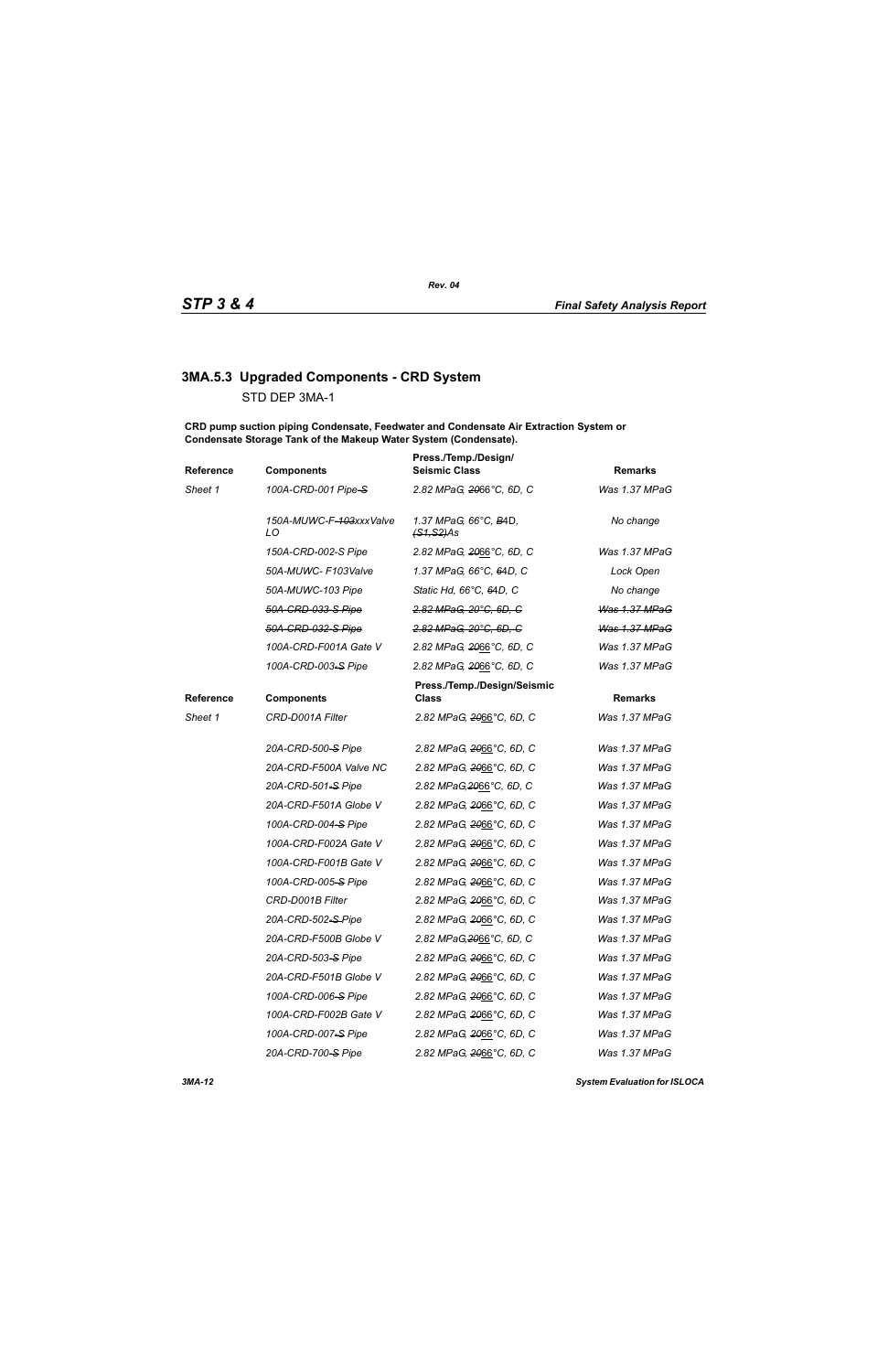# **3MA.5.3 Upgraded Components - CRD System**

STD DEP 3MA-1

**CRD pump suction piping Condensate, Feedwater and Condensate Air Extraction System or Condensate Storage Tank of the Makeup Water System (Condensate).**

| Reference | <b>Components</b>             | Press./Temp./Design/<br><b>Seismic Class</b>   | <b>Remarks</b>       |
|-----------|-------------------------------|------------------------------------------------|----------------------|
| Sheet 1   | 100A-CRD-001 Pipe-S           | 2.82 MPaG, 2066°C, 6D, C                       | Was 1.37 MPaG        |
|           | 150A-MUWC-F-103xxxValve<br>LO | 1.37 MPaG, 66°C, B4D,<br><del>(S1,S2)</del> As | No change            |
|           | 150A-CRD-002-S Pipe           | 2.82 MPaG, 2066°C, 6D, C                       | Was 1.37 MPaG        |
|           | 50A-MUWC- F103Valve           | 1.37 MPaG, 66°C, 64D, C                        | Lock Open            |
|           | 50A-MUWC-103 Pipe             | Static Hd, 66°C, 64D, C                        | No change            |
|           | 50A-CRD-033-S Pipe            | 2.82 MPaG, 20°C, 6D, C                         | Was 1.37 MPaG        |
|           | 50A-CRD-032-S Pipe            | 2.82 MPaG, 20°C, 6D, C                         | <b>Was 1.37 MPaG</b> |
|           | 100A-CRD-F001A Gate V         | 2.82 MPaG, 2066°C, 6D, C                       | Was 1.37 MPaG        |
|           | 100A-CRD-003-S Pipe           | 2.82 MPaG, 2066°C, 6D, C                       | Was 1.37 MPaG        |
| Reference | <b>Components</b>             | Press./Temp./Design/Seismic<br><b>Class</b>    | <b>Remarks</b>       |
| Sheet 1   | CRD-D001A Filter              | 2.82 MPaG, 2066°C, 6D, C                       | Was 1.37 MPaG        |
|           | 20A-CRD-500-S Pipe            | 2.82 MPaG, 2066°C, 6D, C                       | Was 1.37 MPaG        |
|           | 20A-CRD-F500A Valve NC        | 2.82 MPaG, 2066°C, 6D, C                       | Was 1.37 MPaG        |
|           | 20A-CRD-501-S Pipe            | 2.82 MPaG, 2066°C, 6D, C                       | Was 1.37 MPaG        |
|           | 20A-CRD-F501A Globe V         | 2.82 MPaG, 2066°C, 6D, C                       | Was 1.37 MPaG        |
|           | 100A-CRD-004-S Pipe           | 2.82 MPaG, 2066°C, 6D, C                       | Was 1.37 MPaG        |
|           | 100A-CRD-F002A Gate V         | 2.82 MPaG, 2066°C, 6D, C                       | Was 1.37 MPaG        |
|           | 100A-CRD-F001B Gate V         | 2.82 MPaG, 2066°C, 6D, C                       | Was 1.37 MPaG        |
|           | 100A-CRD-005-S Pipe           | 2.82 MPaG, 2066°C, 6D, C                       | Was 1.37 MPaG        |
|           | CRD-D001B Filter              | 2.82 MPaG, 2066°C, 6D, C                       | Was 1.37 MPaG        |
|           | 20A-CRD-502-S-Pipe            | 2.82 MPaG, 2066°C, 6D, C                       | Was 1.37 MPaG        |
|           | 20A-CRD-F500B Globe V         | 2.82 MPaG, 2066°C, 6D, C                       | Was 1.37 MPaG        |
|           | 20A-CRD-503-S Pipe            | 2.82 MPaG, 2066°C, 6D, C                       | Was 1.37 MPaG        |
|           | 20A-CRD-F501B Globe V         | 2.82 MPaG, 2066°C, 6D, C                       | Was 1.37 MPaG        |
|           | 100A-CRD-006-S Pipe           | 2.82 MPaG, 2066°C, 6D, C                       | Was 1.37 MPaG        |
|           | 100A-CRD-F002B Gate V         | 2.82 MPaG, 2066°C, 6D, C                       | Was 1.37 MPaG        |
|           | 100A-CRD-007-S Pipe           | 2.82 MPaG, 2066°C, 6D, C                       | Was 1.37 MPaG        |
|           | 20A-CRD-700-S Pipe            | 2.82 MPaG, 2066°C, 6D, C                       | Was 1.37 MPaG        |
|           |                               |                                                |                      |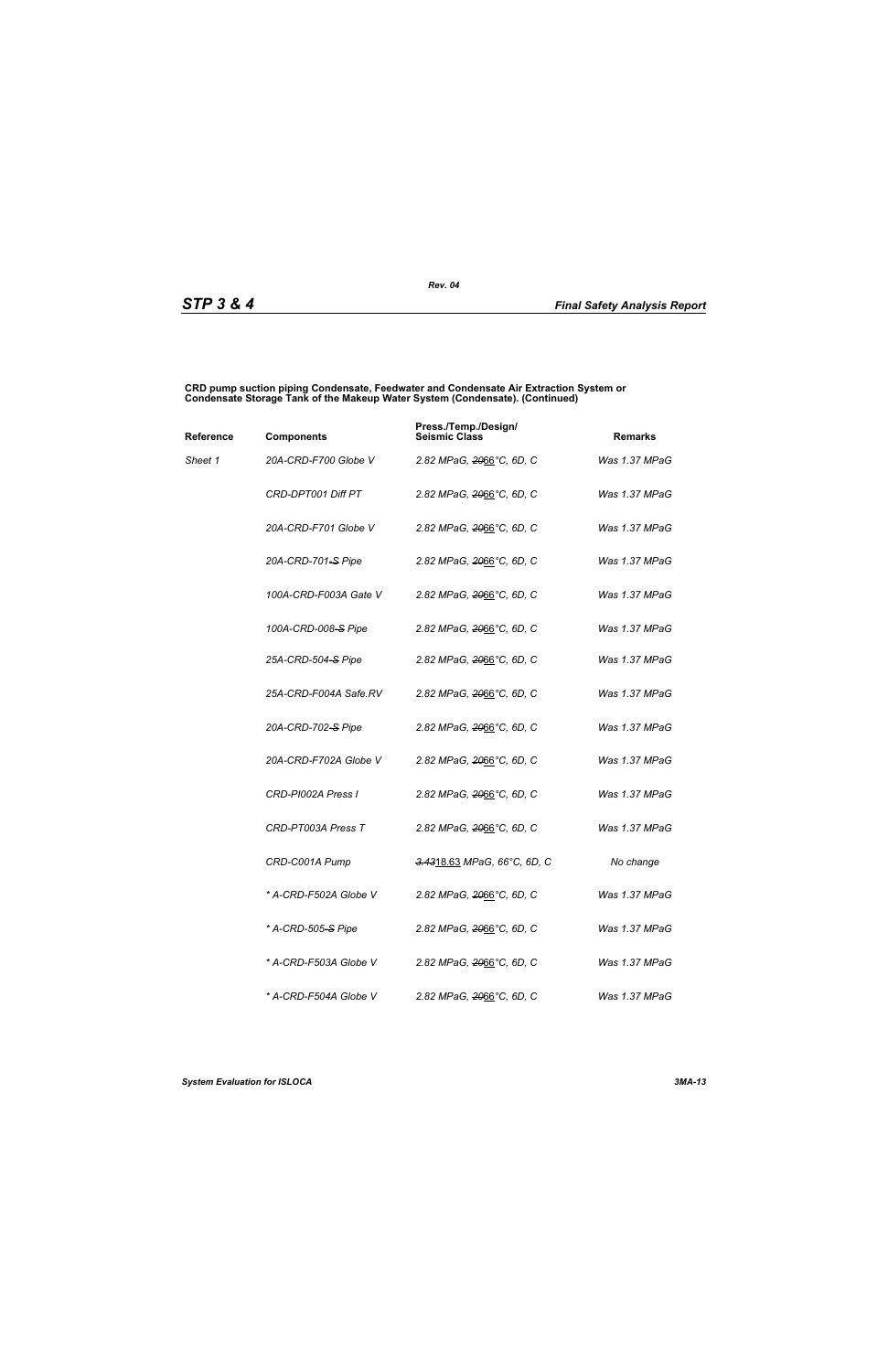#### **CRD pump suction piping Condensate, Feedwater and Condensate Air Extraction System or Condensate Storage Tank of the Makeup Water System (Condensate). (Continued)**

| Reference | <b>Components</b>              | Press./Temp./Design/<br><b>Seismic Class</b> | <b>Remarks</b> |
|-----------|--------------------------------|----------------------------------------------|----------------|
| Sheet 1   | 20A-CRD-F700 Globe V           | 2.82 MPaG, 2066°C, 6D, C                     | Was 1.37 MPaG  |
|           | CRD-DPT001 Diff PT             | 2.82 MPaG, <del>20</del> 66°C, 6D, C         | Was 1.37 MPaG  |
|           | 20A-CRD-F701 Globe V           | 2.82 MPaG, 2066°C, 6D, C                     | Was 1.37 MPaG  |
|           | 20A-CRD-701-S Pipe             | 2.82 MPaG, <del>20</del> 66°C, 6D, C         | Was 1.37 MPaG  |
|           | 100A-CRD-F003A Gate V          | 2.82 MPaG, 2066°C, 6D, C                     | Was 1.37 MPaG  |
|           | 100A-CRD-008-S Pipe            | 2.82 MPaG, 2066°C, 6D, C                     | Was 1.37 MPaG  |
|           | 25A-CRD-504-S Pipe             | 2.82 MPaG, 2066°C, 6D, C                     | Was 1.37 MPaG  |
|           | 25A-CRD-F004A Safe.RV          | 2.82 MPaG, <del>20</del> 66°C, 6D, C         | Was 1.37 MPaG  |
|           | 20A-CRD-702-S Pipe             | 2.82 MPaG, 2066°C, 6D, C                     | Was 1.37 MPaG  |
|           | 20A-CRD-F702A Globe V          | 2.82 MPaG, 2066°C, 6D, C                     | Was 1.37 MPaG  |
|           | CRD-PI002A Press I             | 2.82 MPaG, 2066°C, 6D, C                     | Was 1.37 MPaG  |
|           | CRD-PT003A Press T             | 2.82 MPaG, 2066°C, 6D, C                     | Was 1.37 MPaG  |
|           | CRD-C001A Pump                 | 3.4318.63 MPaG, 66°C, 6D, C                  | No change      |
|           | * A-CRD-F502A Globe V          | 2.82 MPaG, <del>20</del> 66°C, 6D, C         | Was 1.37 MPaG  |
|           | * A-CRD-505 <del>-S</del> Pipe | 2.82 MPaG, 2066°C, 6D, C                     | Was 1.37 MPaG  |
|           | * A-CRD-F503A Globe V          | 2.82 MPaG, 2066°C, 6D, C                     | Was 1.37 MPaG  |
|           | * A-CRD-F504A Globe V          | 2.82 MPaG, 2066°C, 6D, C                     | Was 1.37 MPaG  |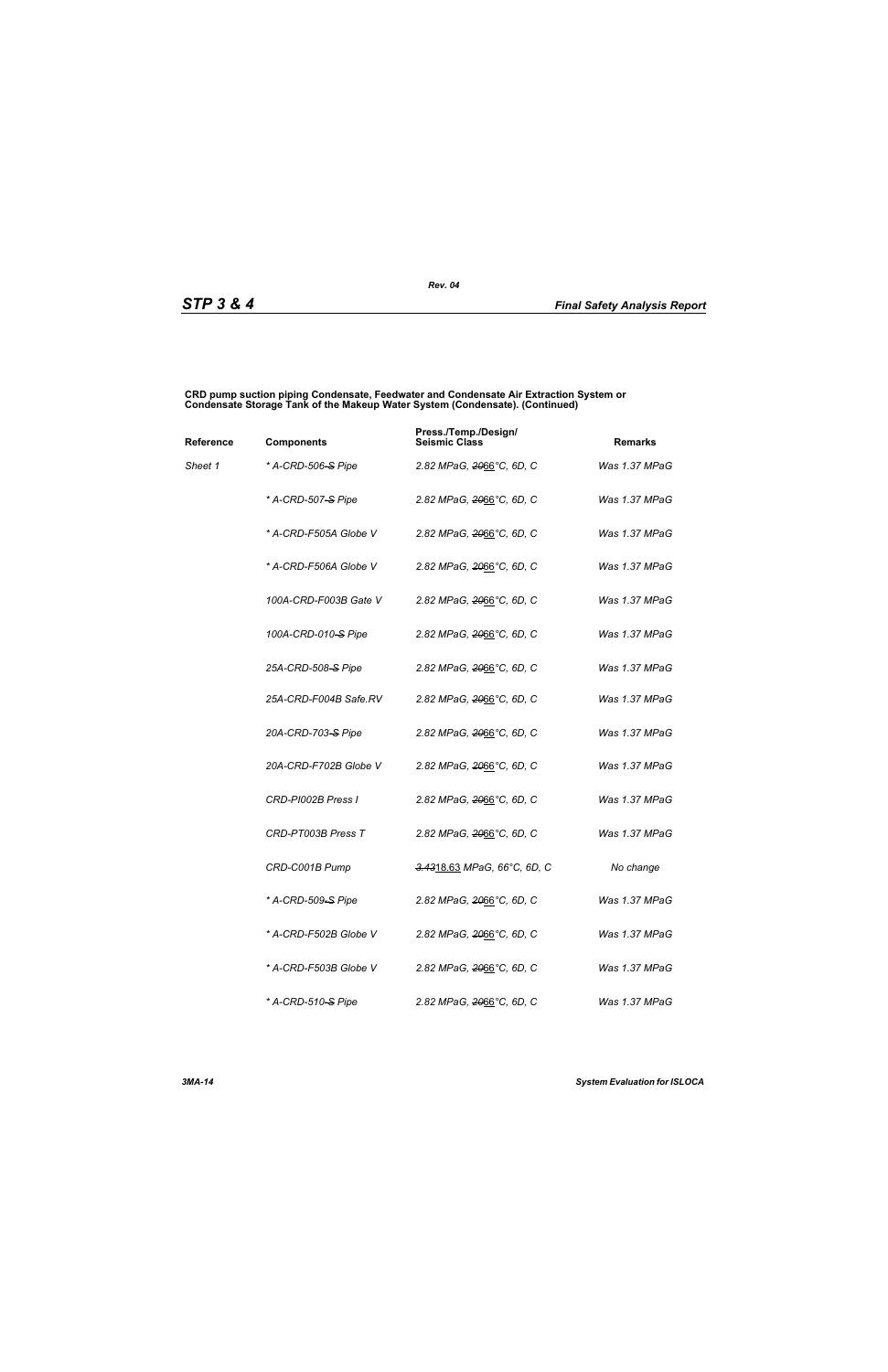#### **CRD pump suction piping Condensate, Feedwater and Condensate Air Extraction System or Condensate Storage Tank of the Makeup Water System (Condensate). (Continued)**

| Reference | <b>Components</b>              | Press./Temp./Design/<br><b>Seismic Class</b> | <b>Remarks</b> |
|-----------|--------------------------------|----------------------------------------------|----------------|
| Sheet 1   | * A-CRD-506 <del>-S</del> Pipe | 2.82 MPaG, <del>20</del> 66°C, 6D, C         | Was 1.37 MPaG  |
|           | * A-CRD-507-S Pipe             | 2.82 MPaG, <del>20</del> 66°C, 6D, C         | Was 1.37 MPaG  |
|           | * A-CRD-F505A Globe V          | 2.82 MPaG, <del>20</del> 66°C, 6D, C         | Was 1.37 MPaG  |
|           | * A-CRD-F506A Globe V          | 2.82 MPaG, 2066°C, 6D, C                     | Was 1.37 MPaG  |
|           | 100A-CRD-F003B Gate V          | 2.82 MPaG, 2066°C, 6D, C                     | Was 1.37 MPaG  |
|           | 100A-CRD-010-S Pipe            | 2.82 MPaG, 2066°C, 6D, C                     | Was 1.37 MPaG  |
|           | 25A-CRD-508-S Pipe             | 2.82 MPaG, <del>20</del> 66°C, 6D, C         | Was 1.37 MPaG  |
|           | 25A-CRD-F004B Safe.RV          | 2.82 MPaG, 2066°C, 6D, C                     | Was 1.37 MPaG  |
|           | 20A-CRD-703-S Pipe             | 2.82 MPaG, <del>20</del> 66°C, 6D, C         | Was 1.37 MPaG  |
|           | 20A-CRD-F702B Globe V          | 2.82 MPaG, 2066°C, 6D, C                     | Was 1.37 MPaG  |
|           | CRD-PI002B Press I             | 2.82 MPaG, 2066°C, 6D, C                     | Was 1.37 MPaG  |
|           | CRD-PT003B Press T             | 2.82 MPaG, 2066°C, 6D, C                     | Was 1.37 MPaG  |
|           | CRD-C001B Pump                 | <del>3.43</del> 18.63 MPaG, 66°C, 6D, C      | No change      |
|           | * A-CRD-509-S Pipe             | 2.82 MPaG, 2066°C, 6D, C                     | Was 1.37 MPaG  |
|           | * A-CRD-F502B Globe V          | 2.82 MPaG, <del>20</del> 66°C, 6D, C         | Was 1.37 MPaG  |
|           | * A-CRD-F503B Globe V          | 2.82 MPaG, 2066°C, 6D, C                     | Was 1.37 MPaG  |
|           | * A-CRD-510 <del>-S</del> Pipe | 2.82 MPaG, 2066°C, 6D, C                     | Was 1.37 MPaG  |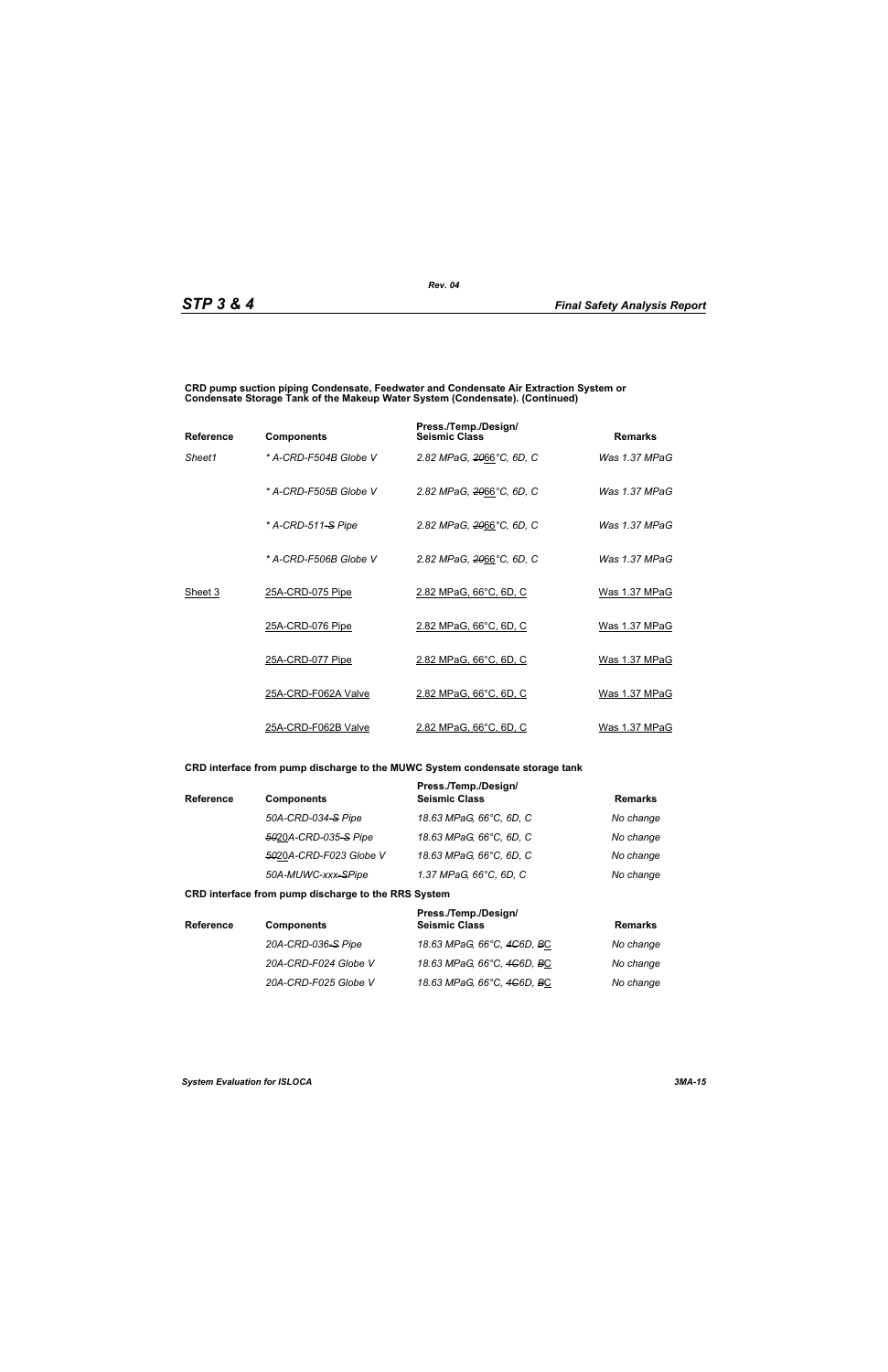#### **CRD pump suction piping Condensate, Feedwater and Condensate Air Extraction System or Condensate Storage Tank of the Makeup Water System (Condensate). (Continued)**

| <b>Reference</b> | <b>Components</b>     | Press./Temp./Design/<br><b>Seismic Class</b> | <b>Remarks</b>  |
|------------------|-----------------------|----------------------------------------------|-----------------|
| Sheet1           | * A-CRD-F504B Globe V | 2.82 MPaG, 2066°C, 6D, C                     | Was 1.37 MPaG   |
|                  | * A-CRD-F505B Globe V | 2.82 MPaG, 2066°C, 6D, C                     | Was 1.37 MPaG   |
|                  | * A-CRD-511-S Pipe    | 2.82 MPaG, 2066°C, 6D, C                     | Was $1.37$ MPaG |
|                  | * A-CRD-F506B Globe V | 2.82 MPaG, 2066°C, 6D, C                     | Was 1.37 MPaG   |
| Sheet 3          | 25A-CRD-075 Pipe      | 2.82 MPaG, 66°C, 6D, C                       | Was 1.37 MPaG   |
|                  | 25A-CRD-076 Pipe      | 2.82 MPaG, 66°C, 6D, C                       | Was 1.37 MPaG   |
|                  | 25A-CRD-077 Pipe      | 2.82 MPaG, 66°C, 6D, C                       | Was 1.37 MPaG   |
|                  | 25A-CRD-F062A Valve   | 2.82 MPaG, 66°C, 6D, C                       | Was 1.37 MPaG   |
|                  | 25A-CRD-F062B Valve   | 2.82 MPaG, 66°C, 6D, C                       | Was 1.37 MPaG   |

### **CRD interface from pump discharge to the MUWC System condensate storage tank**

| <b>Reference</b> | <b>Components</b>      | Press./Temp./Design/<br><b>Seismic Class</b> | <b>Remarks</b> |
|------------------|------------------------|----------------------------------------------|----------------|
|                  | 50A-CRD-034-S Pipe     | 18.63 MPaG, 66°C, 6D, C                      | No change      |
|                  | 5020A-CRD-035-S Pipe   | 18.63 MPaG, 66°C, 6D, C                      | No change      |
|                  | 5020A-CRD-F023 Globe V | 18.63 MPaG, 66°C, 6D, C                      | No change      |
|                  | 50A-MUWC-xxx-SPipe     | 1.37 MPaG, 66°C, 6D, C                       | No change      |

#### **CRD interface from pump discharge to the RRS System**

| <b>Reference</b> | <b>Components</b>    | Press./Temp./Design/<br><b>Seismic Class</b> | <b>Remarks</b> |
|------------------|----------------------|----------------------------------------------|----------------|
|                  | 20A-CRD-036-S Pipe   | 18.63 MPaG, 66°C, 4 <del>C</del> 6D, BC      | No change      |
|                  | 20A-CRD-F024 Globe V | 18.63 MPaG, 66°C, 4 <del>C</del> 6D, BC      | No change      |
|                  | 20A-CRD-F025 Globe V | 18.63 MPaG, 66°C, 4 <del>C</del> 6D, BC      | No change      |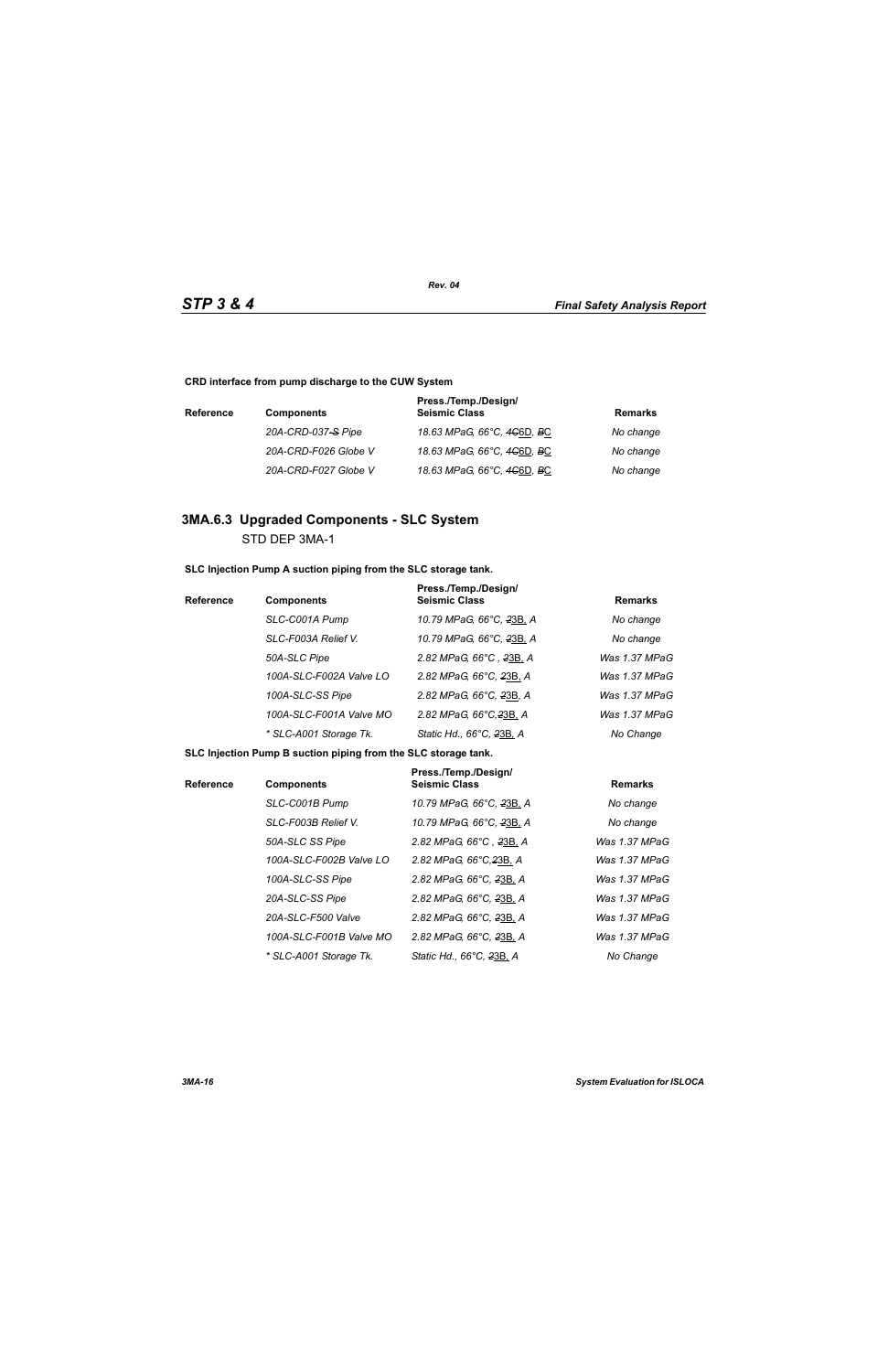**CRD interface from pump discharge to the CUW System**

| <b>Reference</b> | <b>Components</b>    | Press./Temp./Design/<br><b>Seismic Class</b>        | Remarks   |
|------------------|----------------------|-----------------------------------------------------|-----------|
|                  | 20A-CRD-037-S Pipe   | 18.63 MPaG, 66°C, 4 <del>C</del> 6D, <del>B</del> C | No change |
|                  | 20A-CRD-F026 Globe V | 18.63 MPaG, 66°C, 4 <del>C</del> 6D, <del>B</del> C | No change |
|                  | 20A-CRD-F027 Globe V | 18.63 MPaG, 66°C, 4 <del>C</del> 6D, <del>B</del> C | No change |

# **3MA.6.3 Upgraded Components - SLC System** STD DEP 3MA-1

**SLC Injection Pump A suction piping from the SLC storage tank.**

| <b>Reference</b> | <b>Components</b>       | Press./Temp./Design/<br><b>Seismic Class</b> | <b>Remarks</b> |
|------------------|-------------------------|----------------------------------------------|----------------|
|                  | SLC-C001A Pump          | 10.79 MPaG, 66°C, 23B, A                     | No change      |
|                  | SLC-F003A Relief V.     | 10.79 MPaG, 66°C, 23B, A                     | No change      |
|                  | 50A-SLC Pipe            | 2.82 MPaG, 66°C, 23B, A                      | Was 1.37 MPaG  |
|                  | 100A-SLC-F002A Valve LO | 2.82 MPaG, 66°C, 23B, A                      | Was 1.37 MPaG  |
|                  | 100A-SLC-SS Pipe        | 2.82 MPaG, 66°C, 23B, A                      | Was 1.37 MPaG  |
|                  | 100A-SLC-F001A Valve MO | 2.82 MPaG, 66°C, 23B, A                      | Was 1.37 MPaG  |
|                  | * SLC-A001 Storage Tk.  | Static Hd., 66°C, 23B, A                     | No Change      |

**SLC Injection Pump B suction piping from the SLC storage tank.**

| <b>Reference</b> | <b>Components</b>       | Press./Temp./Design/<br><b>Seismic Class</b> | <b>Remarks</b> |
|------------------|-------------------------|----------------------------------------------|----------------|
|                  | SLC-C001B Pump          | 10.79 MPaG, 66°C, 23B, A                     | No change      |
|                  | SLC-F003B Relief V.     | 10.79 MPaG, 66°C, 23B, A                     | No change      |
|                  | 50A-SLC SS Pipe         | 2.82 MPaG, 66°C, 23B, A                      | Was 1.37 MPaG  |
|                  | 100A-SLC-F002B Valve LO | 2.82 MPaG, 66°C, 23B, A                      | Was 1.37 MPaG  |
|                  | 100A-SLC-SS Pipe        | 2.82 MPaG, 66°C, 23B, A                      | Was 1.37 MPaG  |
|                  | 20A-SLC-SS Pipe         | 2.82 MPaG, 66°C, 23B, A                      | Was 1.37 MPaG  |
|                  | 20A-SLC-F500 Valve      | 2.82 MPaG, 66°C, 23B, A                      | Was 1.37 MPaG  |
|                  | 100A-SLC-F001B Valve MO | 2.82 MPaG, 66°C, 23B, A                      | Was 1.37 MPaG  |
|                  | * SLC-A001 Storage Tk.  | Static Hd., 66°C, 23B, A                     | No Change      |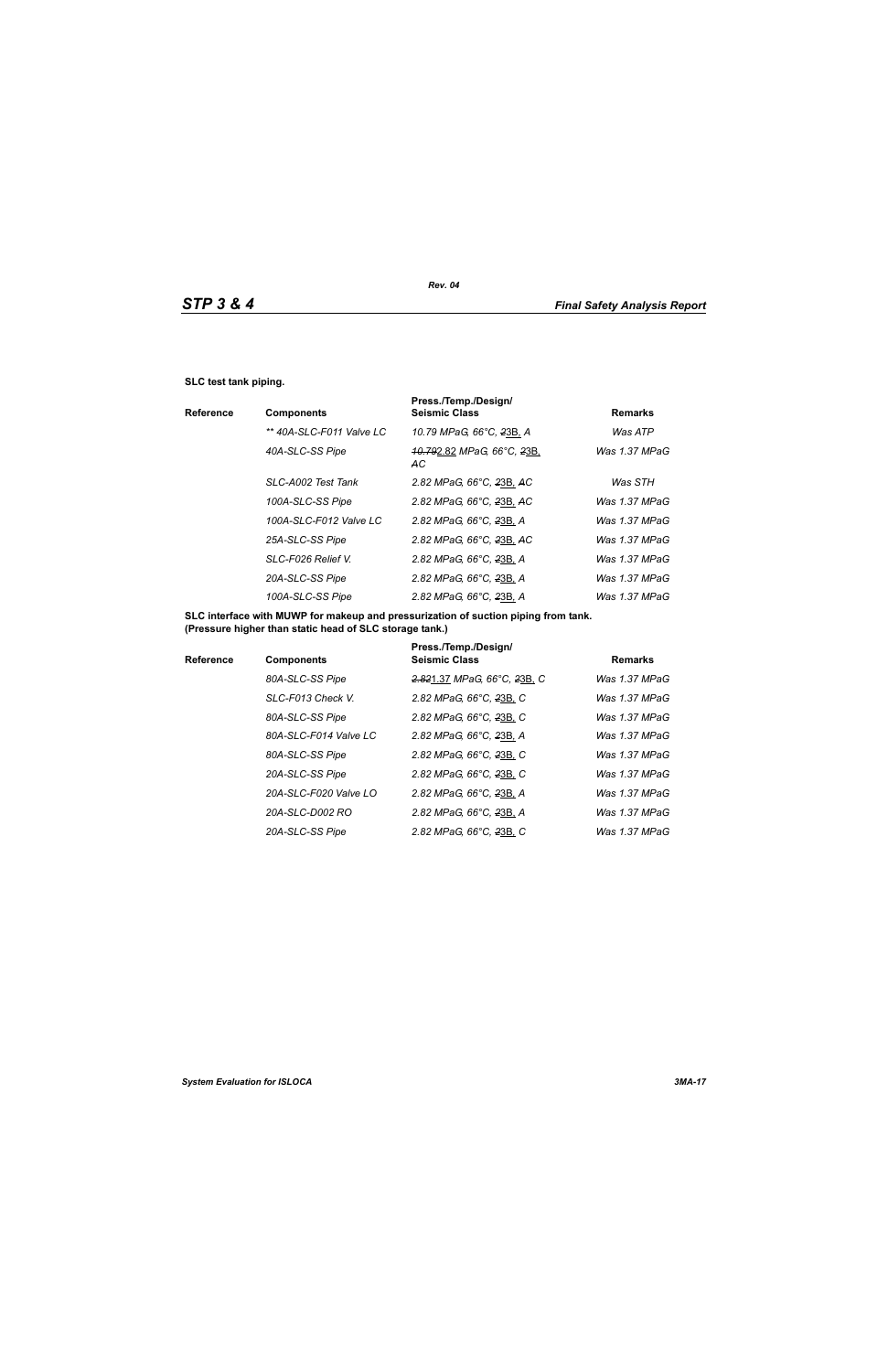#### **SLC test tank piping.**

|                          | Press./Temp./Design/                                            |                 |
|--------------------------|-----------------------------------------------------------------|-----------------|
| <b>Components</b>        | <b>Seismic Class</b>                                            | <b>Remarks</b>  |
| ** 40A-SLC-F011 Valve LC | 10.79 MPaG, 66°C, 23B, A                                        | Was ATP         |
| 40A-SLC-SS Pipe          | <del>.10.79</del> 2.82 <i>MPaG, 66°C, <del>2</del>3B</i><br>AC. | Was 1.37 MPaG   |
| SLC-A002 Test Tank       | 2.82 MPaG, 66°C, 23B, AC                                        | Was STH         |
| 100A-SLC-SS Pipe         | 2.82 MPaG, 66°C, 23B, AC                                        | Was 1.37 MPaG   |
| 100A-SLC-F012 Valve LC   | 2.82 MPaG, 66°C, 23B, A                                         | Was 1.37 MPaG   |
| 25A-SLC-SS Pipe          | 2.82 MPaG, 66°C, 23B, AC                                        | Was 1.37 MPaG   |
| SLC-F026 Relief V.       | 2.82 MPaG, 66°C, 23B, A                                         | Was $1.37$ MPaG |
| 20A-SLC-SS Pipe          | 2.82 MPaG, 66°C, 23B, A                                         | Was 1.37 MPaG   |
| 100A-SLC-SS Pipe         | 2.82 MPaG, 66°C, 23B, A                                         | Was $1.37$ MPaG |
|                          |                                                                 |                 |

**SLC interface with MUWP for makeup and pressurization of suction piping from tank. (Pressure higher than static head of SLC storage tank.)**

| <b>Reference</b> | <b>Components</b>     | Press./Temp./Design/<br><b>Seismic Class</b> | <b>Remarks</b> |
|------------------|-----------------------|----------------------------------------------|----------------|
|                  | 80A-SLC-SS Pipe       | 2.821.37 MPaG, 66°C, 23B, C                  | Was 1.37 MPaG  |
|                  | SLC-F013 Check V.     | 2.82 MPaG, 66°C, 23B, C                      | Was 1.37 MPaG  |
|                  | 80A-SLC-SS Pipe       | 2.82 MPaG, 66°C, 23B, C                      | Was 1.37 MPaG  |
|                  | 80A-SLC-F014 Valve LC | 2.82 MPaG, 66°C, 23B, A                      | Was 1.37 MPaG  |
|                  | 80A-SLC-SS Pipe       | 2.82 MPaG, 66°C, 23B, C                      | Was 1.37 MPaG  |
|                  | 20A-SLC-SS Pipe       | 2.82 MPaG, 66°C, 23B, C                      | Was 1.37 MPaG  |
|                  | 20A-SLC-F020 Valve LO | 2.82 MPaG, 66°C, 23B, A                      | Was 1.37 MPaG  |
|                  | 20A-SLC-D002 RO       | 2.82 MPaG, 66°C, 23B, A                      | Was 1.37 MPaG  |
|                  | 20A-SLC-SS Pipe       | 2.82 MPaG, 66°C, 23B, C                      | Was 1.37 MPaG  |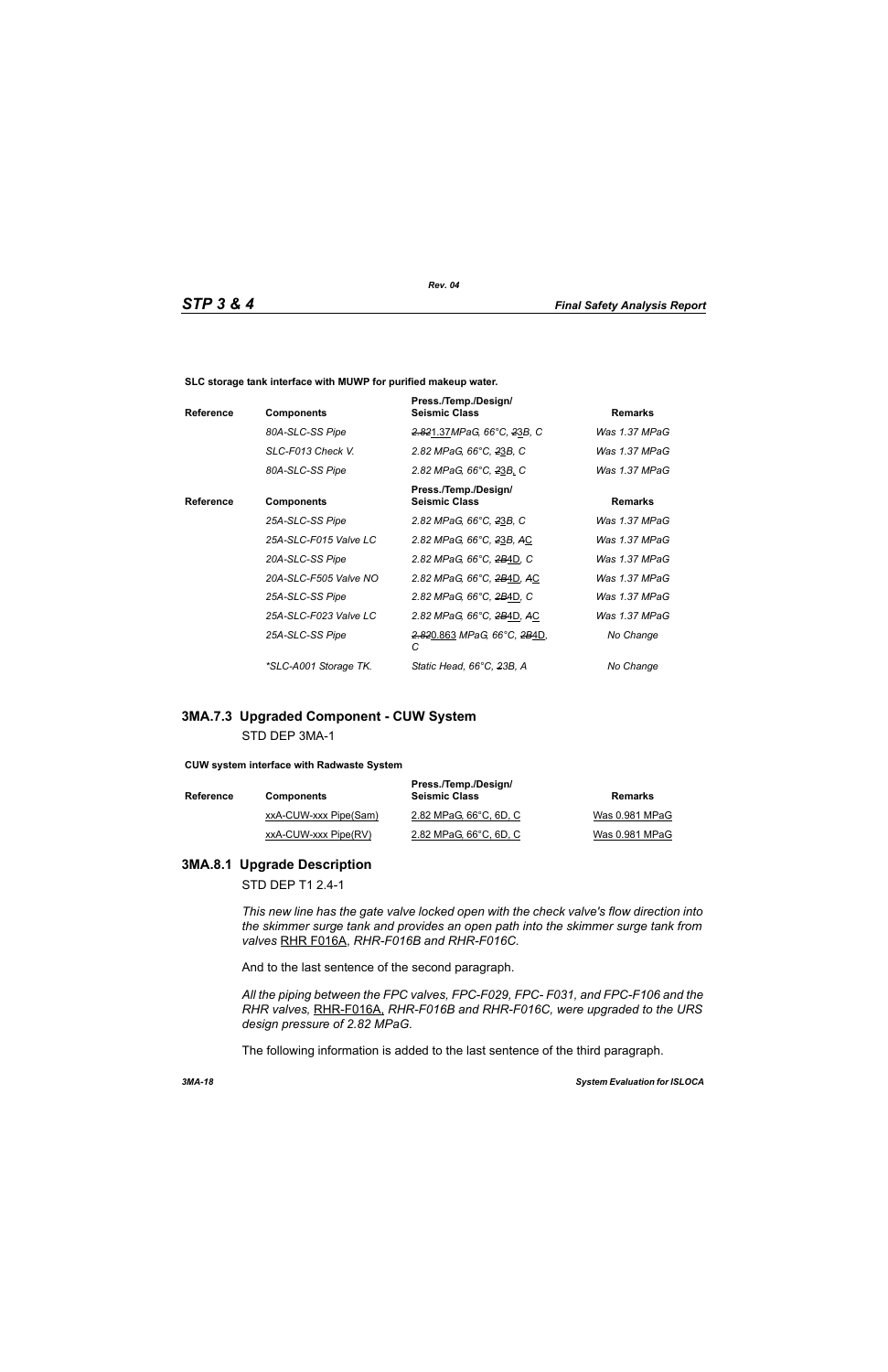**SLC storage tank interface with MUWP for purified makeup water.**

| <b>Reference</b> | <b>Components</b>     | Press./Temp./Design/<br><b>Seismic Class</b>             | <b>Remarks</b> |
|------------------|-----------------------|----------------------------------------------------------|----------------|
|                  | 80A-SLC-SS Pipe       | 2.821.37MPaG, 66°C, 23B, C                               | Was 1.37 MPaG  |
|                  | SLC-F013 Check V.     | 2.82 MPaG, 66°C, 23B, C                                  | Was 1.37 MPaG  |
|                  | 80A-SLC-SS Pipe       | 2.82 MPaG, 66°C, 23B, C                                  | Was 1.37 MPaG  |
| <b>Reference</b> | <b>Components</b>     | Press./Temp./Design/<br><b>Seismic Class</b>             | <b>Remarks</b> |
|                  | 25A-SLC-SS Pipe       | 2.82 MPaG, 66°C, 23B, C                                  | Was 1.37 MPaG  |
|                  | 25A-SLC-F015 Valve LC | 2.82 MPaG, 66°C, 23B, AC                                 | Was 1.37 MPaG  |
|                  | 20A-SLC-SS Pipe       | 2.82 MPaG, 66°C, 2B4D, C                                 | Was 1.37 MPaG  |
|                  | 20A-SLC-F505 Valve NO | 2.82 MPaG, 66°C, 2B4D, AC                                | Was 1.37 MPaG  |
|                  | 25A-SLC-SS Pipe       | 2.82 MPaG, 66°C, 2B4D, C                                 | Was 1.37 MPaG  |
|                  | 25A-SLC-F023 Valve LC | 2.82 MPaG, 66°C, 2B4D, AC                                | Was 1.37 MPaG  |
|                  | 25A-SLC-SS Pipe       | <del>2.82</del> 0.863 MPaG, 66°C, <del>2B</del> 4D,<br>С | No Change      |
|                  | *SLC-A001 Storage TK. | Static Head, 66°C, 23B, A                                | No Change      |

# **3MA.7.3 Upgraded Component - CUW System** STD DEP 3MA-1

#### **CUW system interface with Radwaste System**

| <b>Reference</b> | <b>Components</b>     | Press./Temp./Design/<br><b>Seismic Class</b> | Remarks        |
|------------------|-----------------------|----------------------------------------------|----------------|
|                  | xxA-CUW-xxx Pipe(Sam) | 2.82 MPaG, 66°C, 6D, C                       | Was 0.981 MPaG |
|                  | xxA-CUW-xxx Pipe(RV)  | 2.82 MPaG, 66°C, 6D, C                       | Was 0.981 MPaG |

# **3MA.8.1 Upgrade Description**

STD DEP T1 2.4-1

*This new line has the gate valve locked open with the check valve's flow direction into the skimmer surge tank and provides an open path into the skimmer surge tank from valves* RHR F016A, *RHR-F016B and RHR-F016C.*

And to the last sentence of the second paragraph.

*All the piping between the FPC valves, FPC-F029, FPC- F031, and FPC-F106 and the RHR valves,* RHR-F016A, *RHR-F016B and RHR-F016C, were upgraded to the URS design pressure of 2.82 MPaG.*

The following information is added to the last sentence of the third paragraph.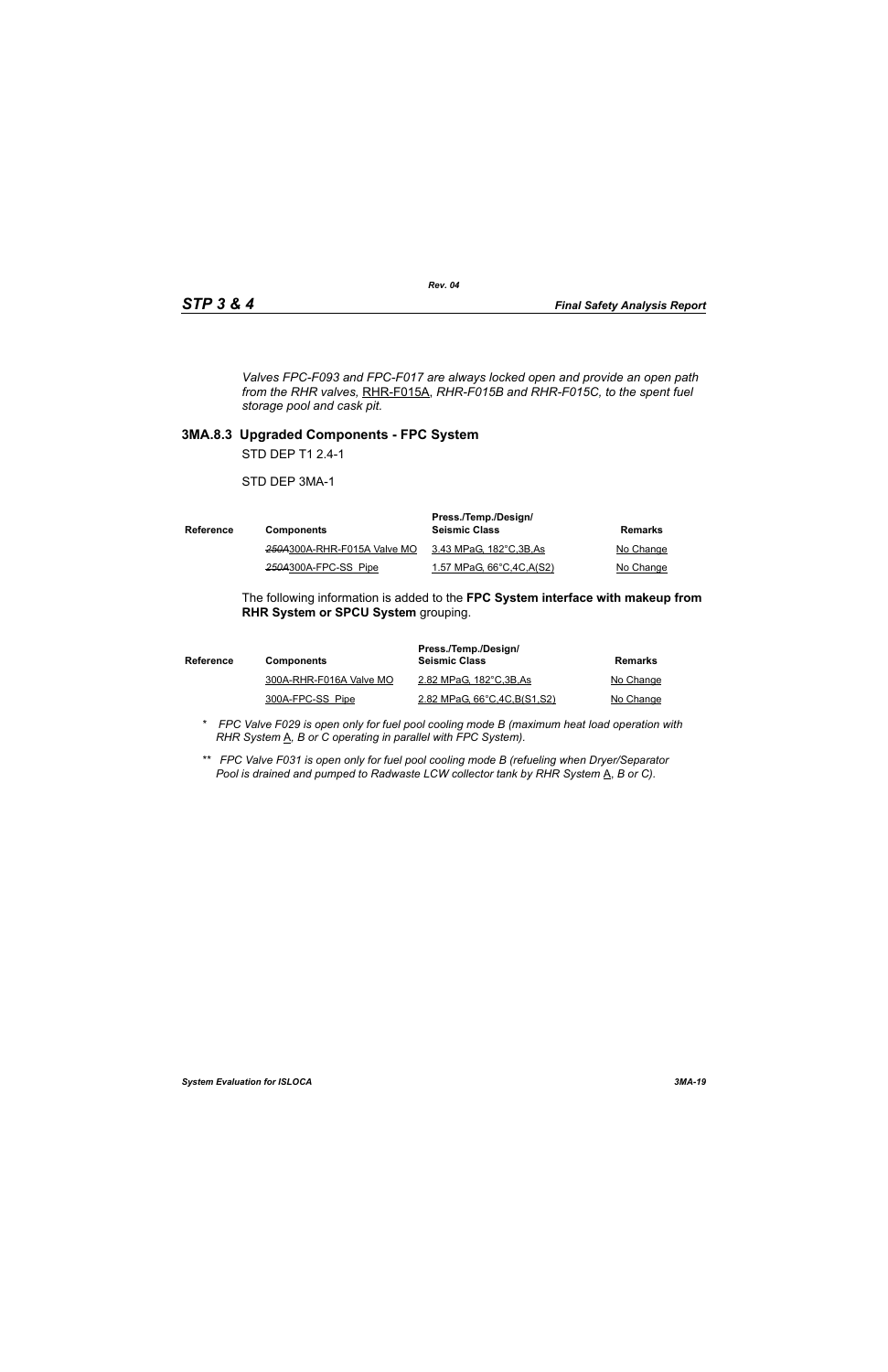*Valves FPC-F093 and FPC-F017 are always locked open and provide an open path from the RHR valves,* RHR-F015A, *RHR-F015B and RHR-F015C, to the spent fuel storage pool and cask pit.*

## **3MA.8.3 Upgraded Components - FPC System**

STD DEP T1 2.4-1

STD DEP 3MA-1

| Reference | <b>Components</b>           | Press./Temp./Design/<br><b>Seismic Class</b> | Remarks   |
|-----------|-----------------------------|----------------------------------------------|-----------|
|           | 250A300A-RHR-F015A Valve MO | 3.43 MPaG, 182°C,3B,As                       | No Change |
|           | 250A300A-FPC-SS Pipe        | 1.57 MPaG, 66°C, 4C, A(S2)                   | No Change |

The following information is added to the **FPC System interface with makeup from RHR System or SPCU System** grouping.

| <b>Reference</b> | <b>Components</b>       | Press./Temp./Design/<br><b>Seismic Class</b> | Remarks   |
|------------------|-------------------------|----------------------------------------------|-----------|
|                  | 300A-RHR-F016A Valve MO | 2.82 MPaG, 182°C, 3B, As                     | No Change |
|                  | 300A-FPC-SS Pipe        | 2.82 MPaG, 66°C, 4C, B(S1, S2)               | No Change |

- *\* FPC Valve F029 is open only for fuel pool cooling mode B (maximum heat load operation with RHR System*  $\underline{A}$ *, B or C operating in parallel with FPC System).*
- *\*\* FPC Valve F031 is open only for fuel pool cooling mode B (refueling when Dryer/Separator Pool is drained and pumped to Radwaste LCW collector tank by RHR System* A, *B or C).*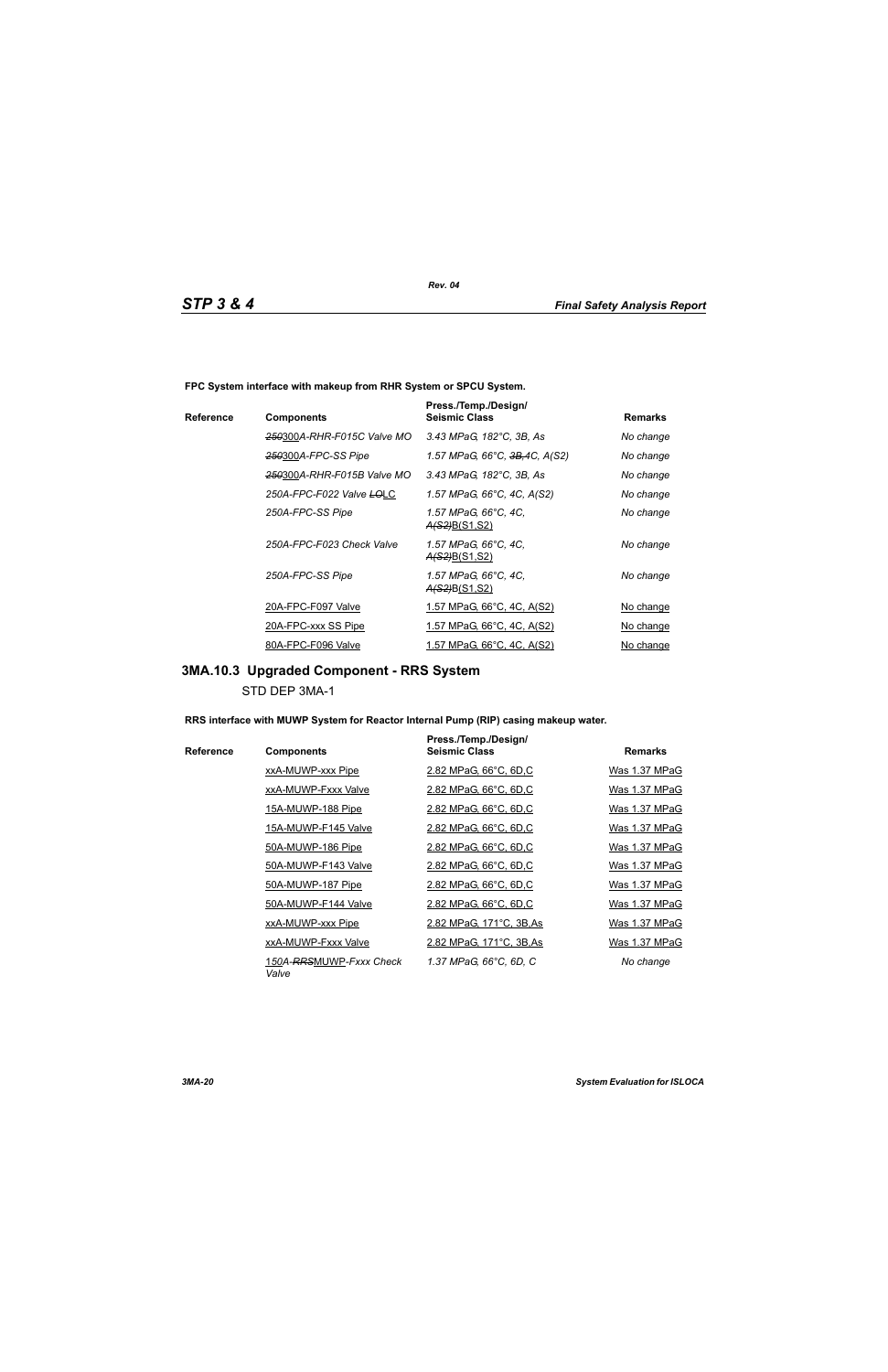**FPC System interface with makeup from RHR System or SPCU System.**

|           |                            | Press./Temp./Design/                         |                |
|-----------|----------------------------|----------------------------------------------|----------------|
| Reference | <b>Components</b>          | <b>Seismic Class</b>                         | <b>Remarks</b> |
|           | 250300A-RHR-F015C Valve MO | 3.43 MPaG, 182°C, 3B, As                     | No change      |
|           | 250300A-FPC-SS Pipe        | 1.57 MPaG, 66°C, <del>3B,</del> 4C, A(S2)    | No change      |
|           | 250300A-RHR-F015B Valve MO | 3.43 MPaG, 182°C, 3B, As                     | No change      |
|           | 250A-FPC-F022 Valve LOLC   | 1.57 MPaG, 66°C, 4C, A(S2)                   | No change      |
|           | 250A-FPC-SS Pipe           | 1.57 MPaG, 66°C, 4C,<br><u>A(S2)B(S1,S2)</u> | No change      |
|           | 250A-FPC-F023 Check Valve  | 1.57 MPaG, 66°C, 4C,<br><u>A(S2)B(S1,S2)</u> | No change      |
|           | 250A-FPC-SS Pipe           | 1.57 MPaG, 66°C, 4C,<br><u>A(S2)B(S1,S2)</u> | No change      |
|           | 20A-FPC-F097 Valve         | <u>1.57 MPaG, 66°C, 4C, A(S2)</u>            | No change      |
|           | 20A-FPC-xxx SS Pipe        | <u>1.57 MPaG, 66°C, 4C, A(S2)</u>            | No change      |
|           | 80A-FPC-F096 Valve         | 1.57 MPaG, 66°C, 4C, A(S2)                   | No change      |

# **3MA.10.3 Upgraded Component - RRS System**

STD DEP 3MA-1

**RRS interface with MUWP System for Reactor Internal Pump (RIP) casing makeup water.**

|           |                                  | Press./Temp./Design/     |                |
|-----------|----------------------------------|--------------------------|----------------|
| Reference | <b>Components</b>                | <b>Seismic Class</b>     | <b>Remarks</b> |
|           | xxA-MUWP-xxx Pipe                | 2.82 MPaG, 66°C, 6D,C    | Was 1.37 MPaG  |
|           | xxA-MUWP-Fxxx Valve              | 2.82 MPaG, 66°C, 6D,C    | Was 1.37 MPaG  |
|           | 15A-MUWP-188 Pipe                | 2.82 MPaG, 66°C, 6D,C    | Was 1.37 MPaG  |
|           | 15A-MUWP-F145 Valve              | 2.82 MPaG, 66°C, 6D,C    | Was 1.37 MPaG  |
|           | 50A-MUWP-186 Pipe                | 2.82 MPaG, 66°C, 6D,C    | Was 1.37 MPaG  |
|           | 50A-MUWP-F143 Valve              | 2.82 MPaG, 66°C, 6D,C    | Was 1.37 MPaG  |
|           | 50A-MUWP-187 Pipe                | 2.82 MPaG, 66°C, 6D,C    | Was 1.37 MPaG  |
|           | 50A-MUWP-F144 Valve              | 2.82 MPaG, 66°C, 6D,C    | Was 1.37 MPaG  |
|           | xxA-MUWP-xxx Pipe                | 2.82 MPaG, 171°C, 3B, As | Was 1.37 MPaG  |
|           | xxA-MUWP-Fxxx Valve              | 2.82 MPaG, 171°C, 3B, As | Was 1.37 MPaG  |
|           | 150A-RRSMUWP-Fxxx Check<br>Valve | 1.37 MPaG, 66°C, 6D, C   | No change      |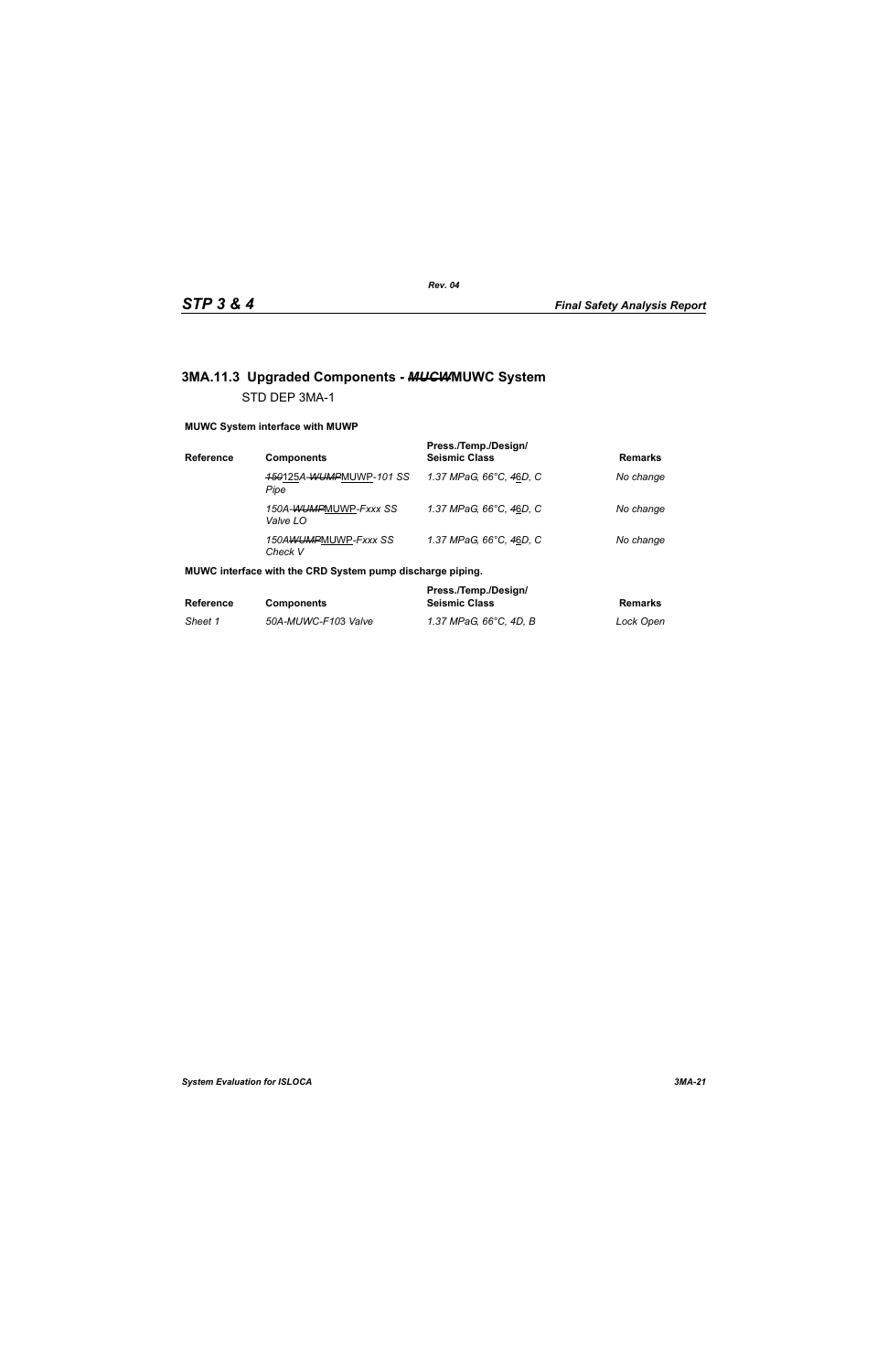# **3MA.11.3 Upgraded Components -** *MUCW***MUWC System** STD DEP 3MA-1

### **MUWC System interface with MUWP**

| Reference | <b>Components</b>                 | Press./Temp./Design/<br><b>Seismic Class</b> | <b>Remarks</b> |
|-----------|-----------------------------------|----------------------------------------------|----------------|
|           | 150125A-WUMPMUWP-101 SS<br>Pipe   | 1.37 MPaG. 66°C. 46D. C                      | No change      |
|           | 150A-WUMPMUWP-Fxxx SS<br>Valve LO | 1.37 MPaG, 66°C, 46D, C                      | No change      |
|           | 150AWUMPMUWP-Fxxx SS<br>Check V   | 1.37 MPaG, 66°C, 46D, C                      | No change      |

### **MUWC interface with the CRD System pump discharge piping.**

|                  |                     | Press./Temp./Design/   |           |
|------------------|---------------------|------------------------|-----------|
| <b>Reference</b> | <b>Components</b>   | <b>Seismic Class</b>   | Remarks   |
| Sheet 1          | 50A-MUWC-F103 Valve | 1.37 MPaG. 66°C. 4D. B | Lock Open |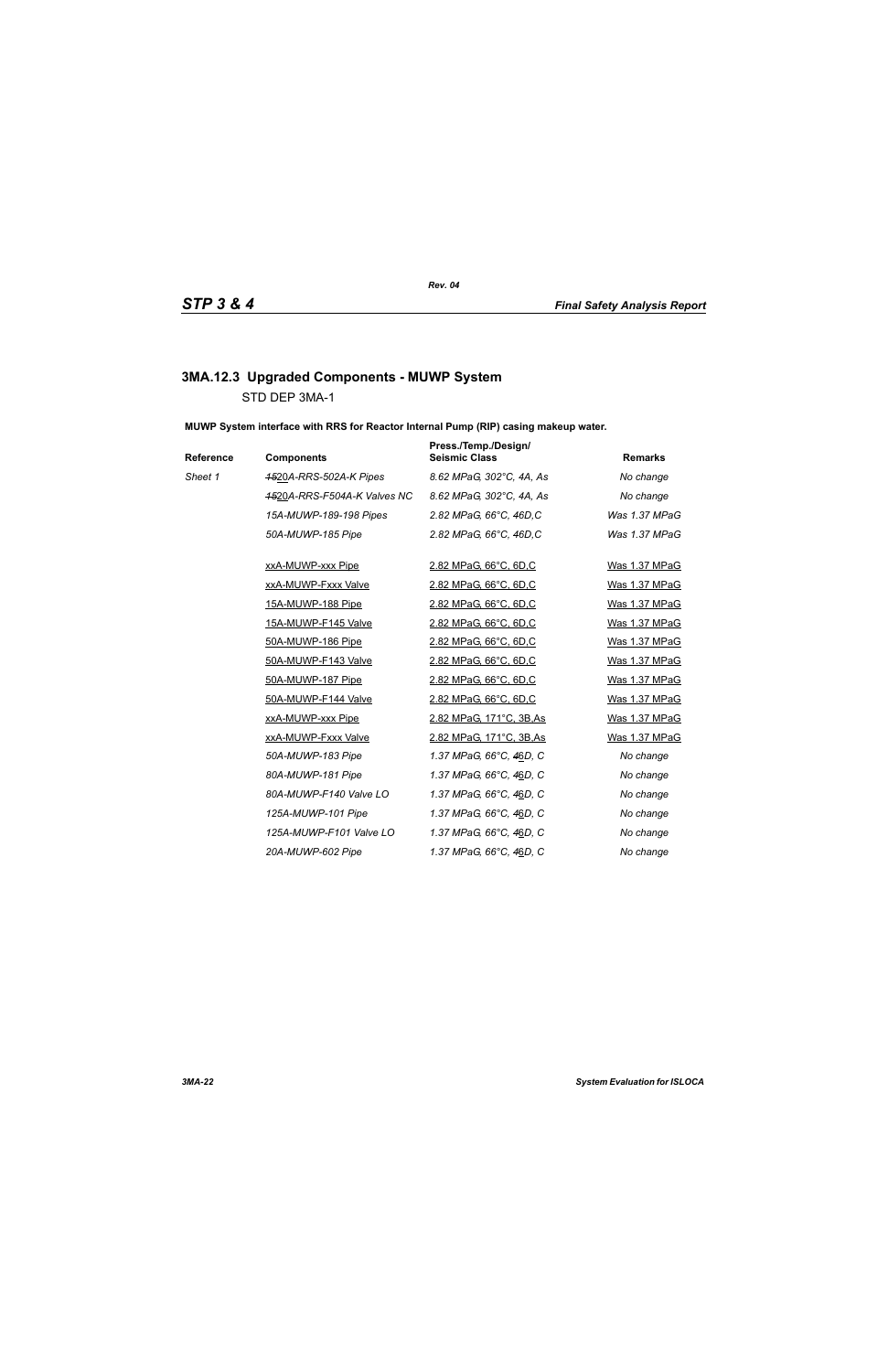# **3MA.12.3 Upgraded Components - MUWP System** STD DEP 3MA-1

**MUWP System interface with RRS for Reactor Internal Pump (RIP) casing makeup water.**

| Reference | <b>Components</b>           | Press./Temp./Design/<br><b>Seismic Class</b> | <b>Remarks</b> |
|-----------|-----------------------------|----------------------------------------------|----------------|
| Sheet 1   | 4520A-RRS-502A-K Pipes      | 8.62 MPaG, 302°C, 4A, As                     | No change      |
|           | 4520A-RRS-F504A-K Valves NC | 8.62 MPaG, 302°C, 4A, As                     | No change      |
|           | 15A-MUWP-189-198 Pipes      | 2.82 MPaG, 66°C, 46D, C                      | Was 1.37 MPaG  |
|           | 50A-MUWP-185 Pipe           | 2.82 MPaG, 66°C, 46D, C                      | Was 1.37 MPaG  |
|           | xxA-MUWP-xxx Pipe           | 2.82 MPaG, 66°C, 6D,C                        | Was 1.37 MPaG  |
|           | xxA-MUWP-Fxxx Valve         | 2.82 MPaG, 66°C, 6D,C                        | Was 1.37 MPaG  |
|           | 15A-MUWP-188 Pipe           | 2.82 MPaG, 66°C, 6D,C                        | Was 1.37 MPaG  |
|           | 15A-MUWP-F145 Valve         | 2.82 MPaG, 66°C, 6D,C                        | Was 1.37 MPaG  |
|           | 50A-MUWP-186 Pipe           | 2.82 MPaG, 66°C, 6D,C                        | Was 1.37 MPaG  |
|           | 50A-MUWP-F143 Valve         | 2.82 MPaG, 66°C, 6D,C                        | Was 1.37 MPaG  |
|           | 50A-MUWP-187 Pipe           | 2.82 MPaG, 66°C, 6D,C                        | Was 1.37 MPaG  |
|           | 50A-MUWP-F144 Valve         | 2.82 MPaG, 66°C, 6D,C                        | Was 1.37 MPaG  |
|           | xxA-MUWP-xxx Pipe           | 2.82 MPaG, 171°C, 3B, As                     | Was 1.37 MPaG  |
|           | xxA-MUWP-Fxxx Valve         | 2.82 MPaG, 171°C, 3B, As                     | Was 1.37 MPaG  |
|           | 50A-MUWP-183 Pipe           | 1.37 MPaG, 66°C, 46D, C                      | No change      |
|           | 80A-MUWP-181 Pipe           | 1.37 MPaG, 66°C, 46D, C                      | No change      |
|           | 80A-MUWP-F140 Valve LO      | 1.37 MPaG, 66°C, 46D, C                      | No change      |
|           | 125A-MUWP-101 Pipe          | 1.37 MPaG, 66°C, 46D, C                      | No change      |
|           | 125A-MUWP-F101 Valve LO     | 1.37 MPaG, 66°C, 46D, C                      | No change      |
|           | 20A-MUWP-602 Pipe           | 1.37 MPaG, 66°C, 46D, C                      | No change      |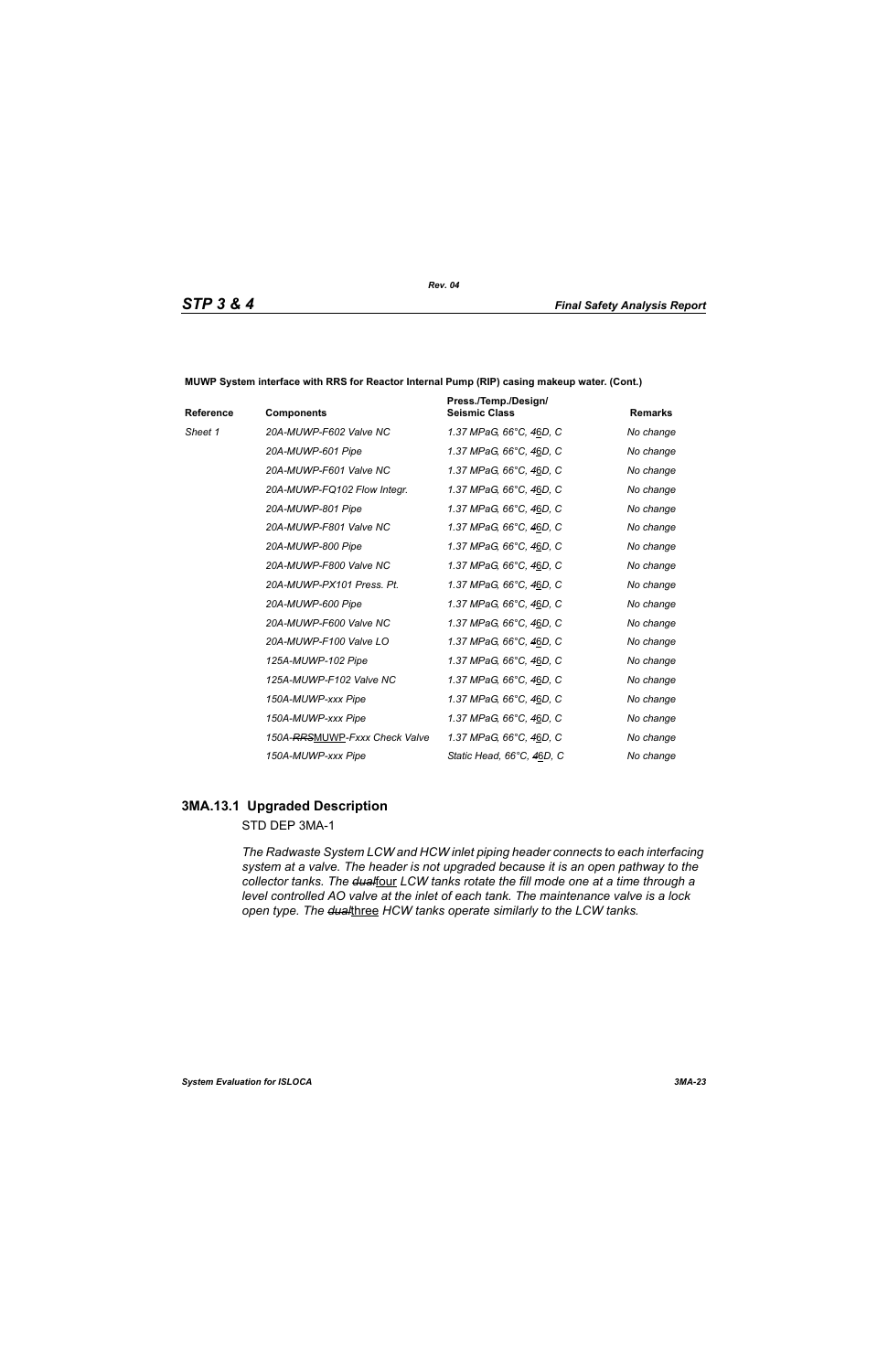| Reference | <b>Components</b>             | Press./Temp./Design/<br><b>Seismic Class</b> | <b>Remarks</b> |
|-----------|-------------------------------|----------------------------------------------|----------------|
| Sheet 1   | 20A-MUWP-F602 Valve NC        | 1.37 MPaG, 66°C, 46D, C                      | No change      |
|           | 20A-MUWP-601 Pipe             | 1.37 MPaG, 66°C, 46D, C                      | No change      |
|           | 20A-MUWP-F601 Valve NC        | 1.37 MPaG, 66°C, 46D, C                      | No change      |
|           | 20A-MUWP-FQ102 Flow Integr.   | 1.37 MPaG, 66°C, 46D, C                      | No change      |
|           | 20A-MUWP-801 Pipe             | 1.37 MPaG, 66°C, 46D, C                      | No change      |
|           | 20A-MUWP-F801 Valve NC        | 1.37 MPaG, 66°C, 46D, C                      | No change      |
|           | 20A-MUWP-800 Pipe             | 1.37 MPaG, 66°C, 46D, C                      | No change      |
|           | 20A-MUWP-F800 Valve NC        | 1.37 MPaG, 66°C, 46D, C                      | No change      |
|           | 20A-MUWP-PX101 Press, Pt.     | 1.37 MPaG, 66°C, 46D, C                      | No change      |
|           | 20A-MUWP-600 Pipe             | 1.37 MPaG, 66°C, 46D, C                      | No change      |
|           | 20A-MUWP-F600 Valve NC        | 1.37 MPaG, 66°C, 46D, C                      | No change      |
|           | 20A-MUWP-F100 Valve LO        | 1.37 MPaG, 66°C, 46D, C                      | No change      |
|           | 125A-MUWP-102 Pipe            | 1.37 MPaG, 66°C, 46D, C                      | No change      |
|           | 125A-MUWP-F102 Valve NC       | 1.37 MPaG, 66°C, 46D, C                      | No change      |
|           | 150A-MUWP-xxx Pipe            | 1.37 MPaG, 66°C, 46D, C                      | No change      |
|           | 150A-MUWP-xxx Pipe            | 1.37 MPaG, 66°C, 46D, C                      | No change      |
|           | 150A-RRSMUWP-Fxxx Check Valve | 1.37 MPaG, 66°C, 46D, C                      | No change      |
|           | 150A-MUWP-xxx Pipe            | Static Head, 66°C, 46D, C                    | No change      |

**MUWP System interface with RRS for Reactor Internal Pump (RIP) casing makeup water. (Cont.)**

### **3MA.13.1 Upgraded Description**

### STD DEP 3MA-1

*The Radwaste System LCW and HCW inlet piping header connects to each interfacing system at a valve. The header is not upgraded because it is an open pathway to the*  collector tanks. The dualfour LCW tanks rotate the fill mode one at a time through a *level controlled AO valve at the inlet of each tank. The maintenance valve is a lock open type. The dual*three *HCW tanks operate similarly to the LCW tanks.*